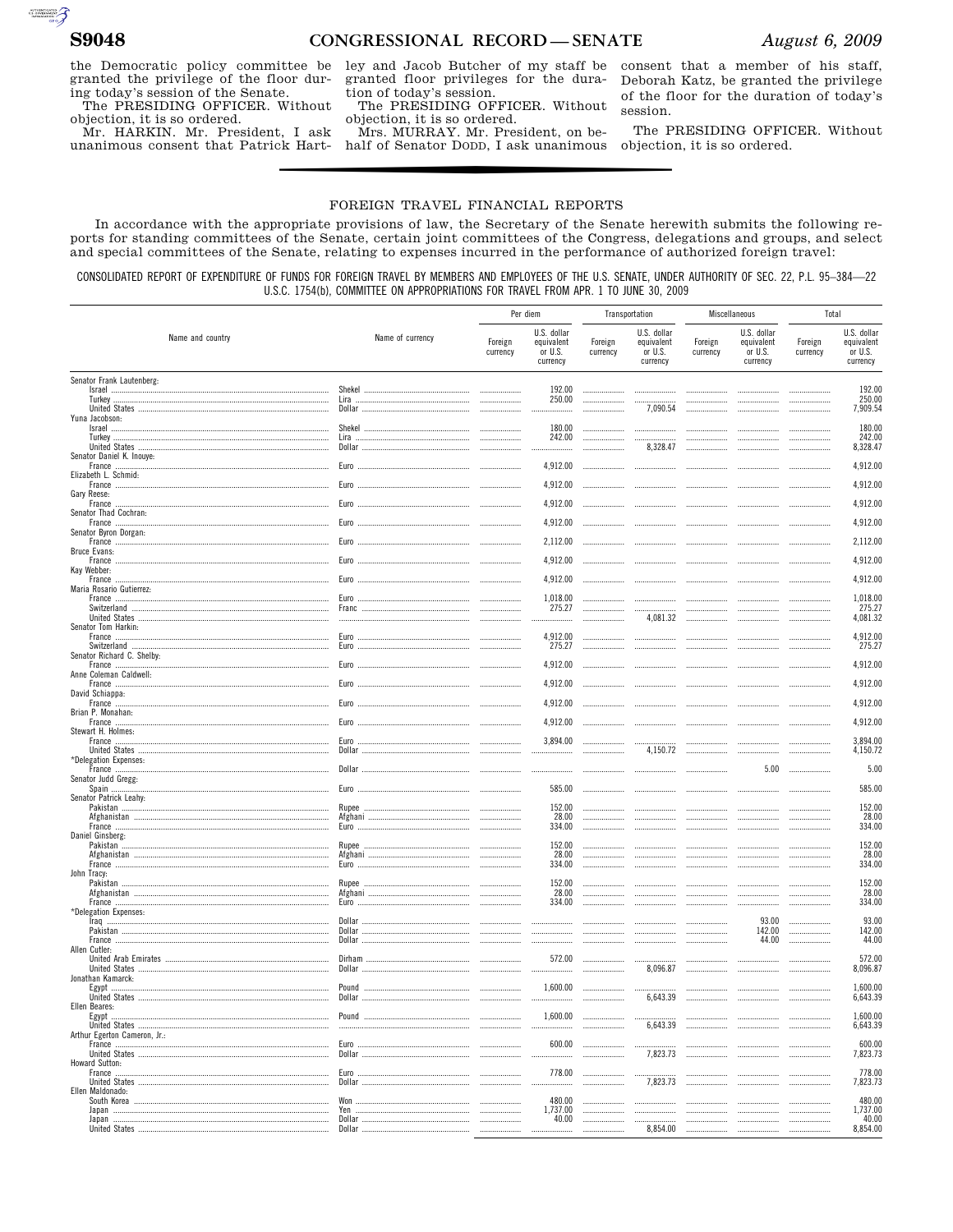$\begin{picture}(180,10) \put(0,0){\line(1,0){10}} \put(10,0){\line(1,0){10}} \put(10,0){\line(1,0){10}} \put(10,0){\line(1,0){10}} \put(10,0){\line(1,0){10}} \put(10,0){\line(1,0){10}} \put(10,0){\line(1,0){10}} \put(10,0){\line(1,0){10}} \put(10,0){\line(1,0){10}} \put(10,0){\line(1,0){10}} \put(10,0){\line(1,0){10}} \put(10,0){\line($ 

the Democratic policy committee be granted the privilege of the floor during today's session of the Senate.

The PRESIDING OFFICER. Without objection, it is so ordered.

Mr. HARKIN. Mr. President, I ask unanimous consent that Patrick Hartley and Jacob Butcher of my staff be granted floor privileges for the duration of today's session.

The PRESIDING OFFICER. Without objection, it is so ordered.

Mrs. MURRAY. Mr. President, on behalf of Senator DODD, I ask unanimous consent that a member of his staff, Deborah Katz, be granted the privilege of the floor for the duration of today's session.

The PRESIDING OFFICER. Without objection, it is so ordered.

#### FOREIGN TRAVEL FINANCIAL REPORTS

In accordance with the appropriate provisions of law, the Secretary of the Senate herewith submits the following reports for standing committees of the Senate, certain joint committees of the Congress, delegations and groups, and select and special committees of the Senate, relating to expenses incurred in the performance of authorized foreign travel:

CONSOLIDATED REPORT OF EXPENDITURE OF FUNDS FOR FOREIGN TRAVEL BY MEMBERS AND EMPLOYEES OF THE U.S. SENATE, UNDER AUTHORITY OF SEC. 22, P.L. 95-384-22 U.S.C. 1754(b), COMMITTEE ON APPROPRIATIONS FOR TRAVEL FROM APR. 1 TO JUNE 30, 2009

|                                          |                  | Per diem            |                                                  | Transportation      |                                                  | Miscellaneous       |                                                                                                                 | Total               |                                                    |
|------------------------------------------|------------------|---------------------|--------------------------------------------------|---------------------|--------------------------------------------------|---------------------|-----------------------------------------------------------------------------------------------------------------|---------------------|----------------------------------------------------|
| Name and country                         | Name of currency | Foreign<br>currency | U.S. dollar<br>equivalent<br>or U.S.<br>currency | Foreign<br>currency | U.S. dollar<br>equivalent<br>or U.S.<br>currency | Foreign<br>currency | U.S. dollar<br>equivalent<br>or U.S.<br>currency                                                                | Foreign<br>currency | U.S. dollar<br>equivalent<br>or $U.S.$<br>currency |
| Senator Frank Lautenberg:                |                  |                     |                                                  |                     |                                                  |                     |                                                                                                                 |                     |                                                    |
| Israel                                   |                  |                     | 192.00<br>250.00                                 |                     |                                                  | <br>                |                                                                                                                 |                     | 192.00<br>250.00                                   |
|                                          |                  |                     |                                                  | .                   | 7,090.54                                         |                     | .                                                                                                               |                     | 7,909.54                                           |
| Yuna Jacobson:<br>Israel                 |                  |                     | 180.00                                           |                     |                                                  |                     |                                                                                                                 |                     | 180.00                                             |
|                                          |                  |                     | 242.00                                           |                     |                                                  |                     |                                                                                                                 |                     | 242.00                                             |
| Senator Daniel K. Inouye:                |                  |                     | .                                                |                     | 8,328.47                                         |                     |                                                                                                                 |                     | 8,328.47                                           |
| Elizabeth L. Schmid:                     |                  |                     | 4,912.00                                         |                     |                                                  |                     |                                                                                                                 |                     | 4.912.00                                           |
|                                          |                  |                     | 4.912.00                                         |                     |                                                  |                     |                                                                                                                 |                     | 4,912.00                                           |
| Gary Reese:<br>France                    |                  |                     | 4,912.00                                         |                     |                                                  |                     |                                                                                                                 |                     | 4,912.00                                           |
| Senator Thad Cochran:                    |                  |                     |                                                  |                     |                                                  |                     |                                                                                                                 |                     |                                                    |
| Senator Byron Dorgan:                    |                  |                     | 4,912.00                                         |                     |                                                  |                     |                                                                                                                 |                     | 4,912.00                                           |
| Bruce Evans:                             |                  |                     | 2,112.00                                         |                     |                                                  |                     |                                                                                                                 |                     | 2,112.00                                           |
|                                          |                  |                     | 4,912.00                                         |                     |                                                  |                     |                                                                                                                 |                     | 4,912.00                                           |
| Kay Webber:<br>France                    |                  |                     | 4,912.00                                         |                     |                                                  |                     |                                                                                                                 |                     | 4,912.00                                           |
| Maria Rosario Gutierrez:                 |                  |                     |                                                  |                     |                                                  |                     |                                                                                                                 |                     |                                                    |
|                                          |                  |                     | 1,018.00<br>275.27                               | <br>                | <br>$\cdots$                                     | <br>$\ldots$        |                                                                                                                 |                     | 1,018.00<br>275.27                                 |
| Senator Tom Harkin:                      |                  |                     |                                                  |                     | 4,081.32                                         |                     |                                                                                                                 |                     | 4,081.32                                           |
|                                          |                  |                     | 4,912.00                                         |                     |                                                  |                     |                                                                                                                 |                     | 4,912.00                                           |
| Senator Richard C. Shelby:               |                  |                     | 275.27                                           |                     |                                                  |                     |                                                                                                                 |                     | 275.27                                             |
| France                                   |                  |                     | 4,912.00                                         |                     |                                                  |                     |                                                                                                                 |                     | 4,912.00                                           |
| Anne Coleman Caldwell:<br>France         |                  |                     | 4,912.00                                         |                     |                                                  |                     |                                                                                                                 |                     | 4,912.00                                           |
| David Schiappa:<br>France                |                  |                     | 4,912.00                                         |                     |                                                  |                     |                                                                                                                 |                     | 4,912.00                                           |
| Brian P. Monahan:                        |                  |                     |                                                  |                     |                                                  |                     |                                                                                                                 |                     |                                                    |
| France<br>Stewart H. Holmes:             |                  |                     | 4,912.00                                         |                     |                                                  |                     |                                                                                                                 |                     | 4,912.00                                           |
|                                          |                  |                     | 3,894.00                                         |                     | .                                                |                     | .                                                                                                               |                     | 3,894.00                                           |
| *Delegation Expenses:                    |                  |                     |                                                  |                     | 4,150.72                                         |                     |                                                                                                                 |                     | 4,150.72                                           |
| Senator Judd Gregg:                      |                  |                     |                                                  |                     |                                                  | .                   | 5.00                                                                                                            |                     | 5.00                                               |
| Spain                                    |                  |                     | 585.00                                           |                     |                                                  |                     |                                                                                                                 |                     | 585.00                                             |
| Senator Patrick Leahy:                   | Rupee            |                     | 152.00                                           |                     |                                                  |                     |                                                                                                                 |                     | 152.00                                             |
|                                          |                  |                     | 28.00<br>334.00                                  |                     |                                                  |                     |                                                                                                                 |                     | 28.00<br>334.00                                    |
| Daniel Ginsberg:                         |                  |                     |                                                  |                     |                                                  |                     |                                                                                                                 | .                   |                                                    |
|                                          | Rupee            |                     | 152.00<br>28.00                                  |                     | <br>                                             | <br>                |                                                                                                                 |                     | 152.00<br>28.00                                    |
| France                                   |                  |                     | 334.00                                           |                     |                                                  |                     |                                                                                                                 |                     | 334.00                                             |
| John Tracy:<br>Pakistan                  | Rupee            | .                   | 152.00                                           |                     |                                                  |                     |                                                                                                                 |                     | 152.00                                             |
|                                          |                  |                     | 28.00<br>334.00                                  |                     |                                                  |                     |                                                                                                                 |                     | 28.00<br>334.00                                    |
| *Delegation Expenses:                    |                  |                     |                                                  |                     |                                                  |                     |                                                                                                                 |                     |                                                    |
|                                          |                  |                     |                                                  |                     |                                                  |                     | 93.00<br>142.00                                                                                                 |                     | 93.00<br>142.00                                    |
| Allen Cutler:                            |                  |                     |                                                  |                     |                                                  | .                   | 44.00                                                                                                           |                     | 44.00                                              |
|                                          |                  |                     | 572.00                                           | 1.1.1.1.1           |                                                  |                     |                                                                                                                 |                     | 572.00                                             |
| Jonathan Kamarck:                        |                  |                     |                                                  | .                   | 8,096.87                                         |                     |                                                                                                                 |                     | 8,096.87                                           |
| Egypt ………………………………………………………………………………………… |                  | .                   | 1,600.00                                         |                     |                                                  |                     |                                                                                                                 |                     | 1,600.00                                           |
| Flien Beares:                            |                  |                     |                                                  |                     | 6,643.39                                         |                     |                                                                                                                 |                     | 6,643.39                                           |
| Egypt                                    |                  |                     |                                                  |                     |                                                  | <br>6.643.39        |                                                                                                                 |                     | 1,600.00                                           |
| Arthur Egerton Cameron, Jr.:             |                  |                     |                                                  |                     |                                                  |                     |                                                                                                                 | .                   | 6,643.39                                           |
|                                          |                  |                     |                                                  |                     |                                                  |                     |                                                                                                                 |                     | 600.00<br>7,823.73                                 |
| Howard Sutton:                           |                  |                     |                                                  |                     |                                                  |                     |                                                                                                                 |                     |                                                    |
|                                          |                  |                     |                                                  | 778.00              |                                                  |                     |                                                                                                                 |                     | 778.00<br>7,823.73                                 |
| Ellen Maldonado:                         |                  |                     | 480.00                                           |                     |                                                  |                     |                                                                                                                 |                     | 480.00                                             |
|                                          |                  |                     | 1,737.00                                         | <br>                |                                                  |                     | $\begin{tabular}{cccccccccc} $n$-momentum & $n$-momentum & $n$-momentum & $n$-momentum \\ \hline \end{tabular}$ |                     | 1,737.00                                           |
|                                          |                  | .                   | 40.00                                            |                     | 8,854.00                                         |                     |                                                                                                                 | .                   | 40.00<br>8,854.00                                  |
|                                          |                  |                     |                                                  |                     |                                                  |                     |                                                                                                                 |                     |                                                    |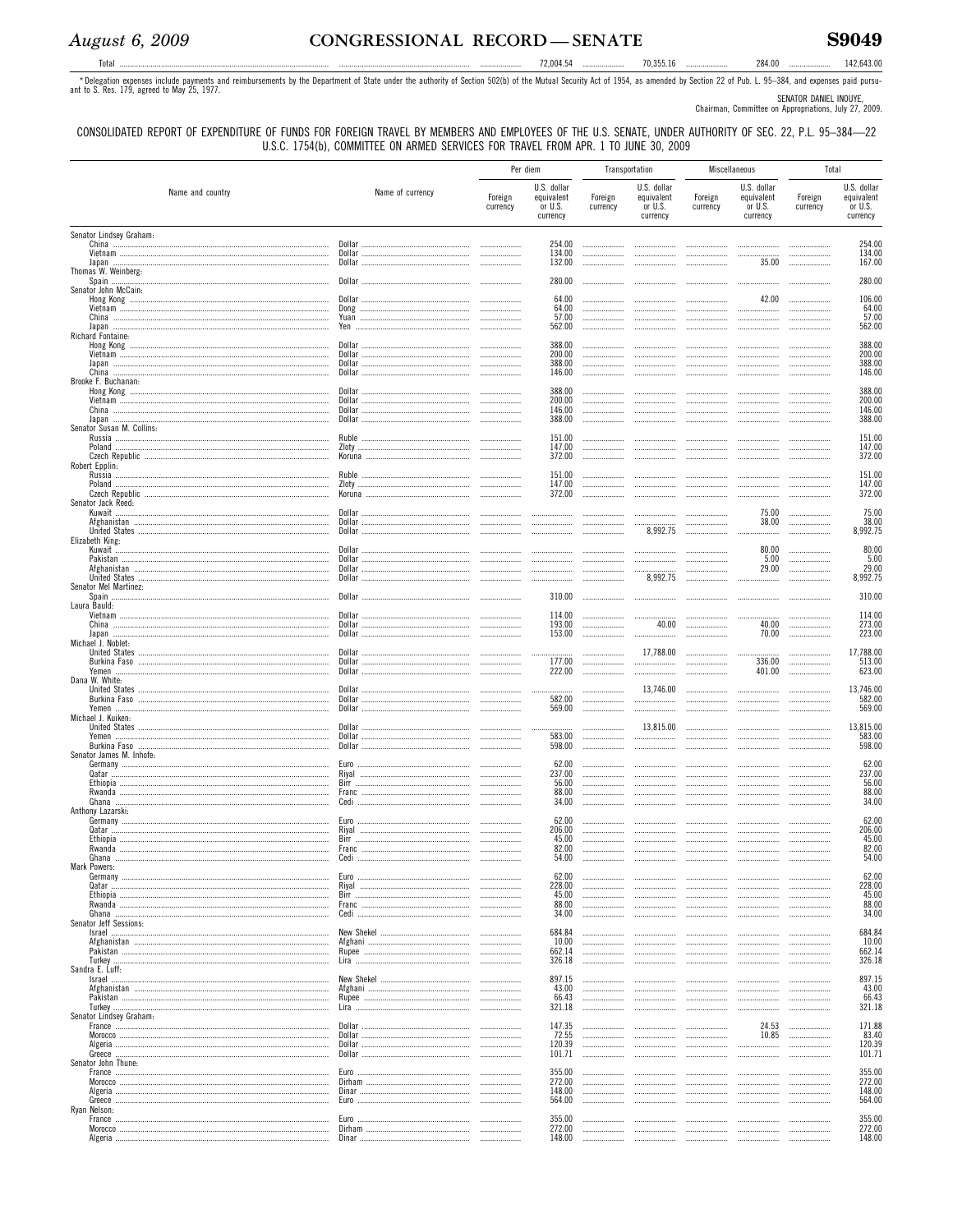Total .........

284.00 ...................... 142,643.00

The Delegation expenses include payments and reimbursements by the Department of State under the authority of Section 502(b) of the Mutual Security Act of 1954, as amended by Section 22 of Pub. L. 95-384, and expenses paid

SENATOR DANIEL INOUYE,<br>Chairman, Committee on Appropriations, July 27, 2009.

CONSOLIDATED REPORT OF EXPENDITURE OF FUNDS FOR FOREIGN TRAVEL BY MEMBERS AND EMPLOYEES OF THE U.S. SENATE, UNDER AUTHORITY OF SEC. 22, P.L. 95-384-22 U.S.C. 1754(b), COMMITTEE ON ARMED SERVICES FOR TRAVEL FROM APR. 1 TO JUNE 30, 2009

|                                                      |                                                                                                                                                                                                                                                                                                                                                                                                                                                       |                     | Per diem                                                                                                                                                                                                                                                                                                                                                                                                                                                                                                                                                          |                     | Transportation                                                                                                                                                                                                                                                                                                                                                                                                                                                                                                                                                                                                                                                                                                                                      |                     | Miscellaneous                                                                                                                                                                                                                                                                                                                                                                                                                                   | Total               |                                                  |
|------------------------------------------------------|-------------------------------------------------------------------------------------------------------------------------------------------------------------------------------------------------------------------------------------------------------------------------------------------------------------------------------------------------------------------------------------------------------------------------------------------------------|---------------------|-------------------------------------------------------------------------------------------------------------------------------------------------------------------------------------------------------------------------------------------------------------------------------------------------------------------------------------------------------------------------------------------------------------------------------------------------------------------------------------------------------------------------------------------------------------------|---------------------|-----------------------------------------------------------------------------------------------------------------------------------------------------------------------------------------------------------------------------------------------------------------------------------------------------------------------------------------------------------------------------------------------------------------------------------------------------------------------------------------------------------------------------------------------------------------------------------------------------------------------------------------------------------------------------------------------------------------------------------------------------|---------------------|-------------------------------------------------------------------------------------------------------------------------------------------------------------------------------------------------------------------------------------------------------------------------------------------------------------------------------------------------------------------------------------------------------------------------------------------------|---------------------|--------------------------------------------------|
| Name and country                                     | Name of currency                                                                                                                                                                                                                                                                                                                                                                                                                                      | Foreign<br>currency | U.S. dollar<br>equivalent<br>or U.S.<br>currency                                                                                                                                                                                                                                                                                                                                                                                                                                                                                                                  | Foreign<br>currency | U.S. dollar<br>equivalent<br>or U.S.<br>currency                                                                                                                                                                                                                                                                                                                                                                                                                                                                                                                                                                                                                                                                                                    | Foreign<br>currency | U.S. dollar<br>equivalent<br>or U.S.<br>currency                                                                                                                                                                                                                                                                                                                                                                                                | Foreign<br>currency | U.S. dollar<br>equivalent<br>or U.S.<br>currency |
| Senator Lindsey Graham:<br>Japan                     |                                                                                                                                                                                                                                                                                                                                                                                                                                                       |                     | 254.00<br>134.00<br>132.00                                                                                                                                                                                                                                                                                                                                                                                                                                                                                                                                        |                     |                                                                                                                                                                                                                                                                                                                                                                                                                                                                                                                                                                                                                                                                                                                                                     |                     | 35.00                                                                                                                                                                                                                                                                                                                                                                                                                                           | <br>.               | 254.00<br>134.00<br>167.00                       |
| Thomas W. Weinberg:<br>Spain<br>Senator John McCain: |                                                                                                                                                                                                                                                                                                                                                                                                                                                       |                     | 280.00<br>64.00                                                                                                                                                                                                                                                                                                                                                                                                                                                                                                                                                   |                     |                                                                                                                                                                                                                                                                                                                                                                                                                                                                                                                                                                                                                                                                                                                                                     |                     | 42.00                                                                                                                                                                                                                                                                                                                                                                                                                                           |                     | 280.00<br>106.00                                 |
| Richard Fontaine:                                    |                                                                                                                                                                                                                                                                                                                                                                                                                                                       |                     | 64.00<br>57.00<br>562.00                                                                                                                                                                                                                                                                                                                                                                                                                                                                                                                                          | <br><br>            |                                                                                                                                                                                                                                                                                                                                                                                                                                                                                                                                                                                                                                                                                                                                                     |                     |                                                                                                                                                                                                                                                                                                                                                                                                                                                 |                     | 64.00<br>57.00<br>562.00                         |
|                                                      | Dollar                                                                                                                                                                                                                                                                                                                                                                                                                                                |                     | 388.00<br>200.00<br>388.00<br>146.00                                                                                                                                                                                                                                                                                                                                                                                                                                                                                                                              |                     |                                                                                                                                                                                                                                                                                                                                                                                                                                                                                                                                                                                                                                                                                                                                                     |                     |                                                                                                                                                                                                                                                                                                                                                                                                                                                 |                     | 388.00<br>200.00<br>388.00<br>146.00             |
| Brooke F. Buchanan:                                  |                                                                                                                                                                                                                                                                                                                                                                                                                                                       |                     | 388.00<br>200.00<br>146.00                                                                                                                                                                                                                                                                                                                                                                                                                                                                                                                                        |                     |                                                                                                                                                                                                                                                                                                                                                                                                                                                                                                                                                                                                                                                                                                                                                     |                     |                                                                                                                                                                                                                                                                                                                                                                                                                                                 |                     | 388.00<br>200.00<br>146.00                       |
| Senator Susan M. Collins:                            |                                                                                                                                                                                                                                                                                                                                                                                                                                                       |                     | 388.00<br>151.00<br>147.00                                                                                                                                                                                                                                                                                                                                                                                                                                                                                                                                        |                     |                                                                                                                                                                                                                                                                                                                                                                                                                                                                                                                                                                                                                                                                                                                                                     |                     |                                                                                                                                                                                                                                                                                                                                                                                                                                                 |                     | 388.00<br>151.00<br>147.00                       |
| Robert Epplin:                                       |                                                                                                                                                                                                                                                                                                                                                                                                                                                       |                     | 372.00<br>151.00<br>147.00                                                                                                                                                                                                                                                                                                                                                                                                                                                                                                                                        |                     |                                                                                                                                                                                                                                                                                                                                                                                                                                                                                                                                                                                                                                                                                                                                                     | .                   |                                                                                                                                                                                                                                                                                                                                                                                                                                                 |                     | 372.00<br>151.00<br>147.00                       |
| Senator Jack Reed:                                   |                                                                                                                                                                                                                                                                                                                                                                                                                                                       |                     | 372.00                                                                                                                                                                                                                                                                                                                                                                                                                                                                                                                                                            |                     |                                                                                                                                                                                                                                                                                                                                                                                                                                                                                                                                                                                                                                                                                                                                                     |                     | 75.00<br>38.00                                                                                                                                                                                                                                                                                                                                                                                                                                  |                     | 372.00<br>75.00<br>38.00                         |
| Elizabeth King:                                      |                                                                                                                                                                                                                                                                                                                                                                                                                                                       |                     | $\begin{minipage}{.4\linewidth} \begin{minipage}{.4\linewidth} \begin{minipage}{.4\linewidth} \end{minipage} \begin{minipage}{.4\linewidth} \begin{minipage}{.4\linewidth} \end{minipage} \end{minipage} \begin{minipage}{.4\linewidth} \begin{minipage}{.4\linewidth} \begin{minipage}{.4\linewidth} \end{minipage} \end{minipage} \begin{minipage}{.4\linewidth} \begin{minipage}{.4\linewidth} \end{minipage} \end{minipage} \begin{minipage}{.4\linewidth} \begin{minipage}{.4\linewidth} \end{minipage} \end{minipage} \begin{minipage}{.4\linewidth} \$<br> |                     | 8,992.75                                                                                                                                                                                                                                                                                                                                                                                                                                                                                                                                                                                                                                                                                                                                            | <br>                | <br>80.00<br>5.00<br>29.00                                                                                                                                                                                                                                                                                                                                                                                                                      |                     | 8,992.75<br>80.00<br>5.00<br>29.00               |
| Senator Mel Martinez:<br>Laura Bauld:                |                                                                                                                                                                                                                                                                                                                                                                                                                                                       |                     | <br>310.00                                                                                                                                                                                                                                                                                                                                                                                                                                                                                                                                                        |                     | 8,992.75<br>                                                                                                                                                                                                                                                                                                                                                                                                                                                                                                                                                                                                                                                                                                                                        | <br>                |                                                                                                                                                                                                                                                                                                                                                                                                                                                 |                     | 8,992.75<br>310.00                               |
| Michael J. Noblet:                                   |                                                                                                                                                                                                                                                                                                                                                                                                                                                       |                     | 114.00<br>193.00<br>153.00                                                                                                                                                                                                                                                                                                                                                                                                                                                                                                                                        | <br>                | 40.00<br>                                                                                                                                                                                                                                                                                                                                                                                                                                                                                                                                                                                                                                                                                                                                           | <br>                | 40.00<br>70.00                                                                                                                                                                                                                                                                                                                                                                                                                                  |                     | 114.00<br>273.00<br>223.00                       |
| Dana W. White:                                       |                                                                                                                                                                                                                                                                                                                                                                                                                                                       |                     | 177.00<br>222.00                                                                                                                                                                                                                                                                                                                                                                                                                                                                                                                                                  | <br>                | 17,788.00<br><br>                                                                                                                                                                                                                                                                                                                                                                                                                                                                                                                                                                                                                                                                                                                                   | <br>                | 336.00<br>401.00                                                                                                                                                                                                                                                                                                                                                                                                                                | <br>.               | 17.788.00<br>513.00<br>623.00                    |
| Michael J. Kuiken:                                   |                                                                                                                                                                                                                                                                                                                                                                                                                                                       |                     | 582.00<br>569.00                                                                                                                                                                                                                                                                                                                                                                                                                                                                                                                                                  | <br>                | 13,746.00<br><br>                                                                                                                                                                                                                                                                                                                                                                                                                                                                                                                                                                                                                                                                                                                                   | <br><br>            | <br>                                                                                                                                                                                                                                                                                                                                                                                                                                            | .                   | 13.746.00<br>582.00<br>569.00                    |
| Senator James M. Inhofe:                             |                                                                                                                                                                                                                                                                                                                                                                                                                                                       |                     | 583.00<br>598.00                                                                                                                                                                                                                                                                                                                                                                                                                                                                                                                                                  | <br>                | 13,815.00<br><br>                                                                                                                                                                                                                                                                                                                                                                                                                                                                                                                                                                                                                                                                                                                                   |                     |                                                                                                                                                                                                                                                                                                                                                                                                                                                 | .                   | 13.815.00<br>583.00<br>598.00                    |
|                                                      | Rival<br>$\begin{minipage}{0.5\textwidth} \begin{tabular}{ l l l } \hline \multicolumn{1}{ l l } \hline \multicolumn{1}{ l } \multicolumn{1}{ l } \multicolumn{1}{ l } \multicolumn{1}{ l } \multicolumn{1}{ l } \multicolumn{1}{ l } \multicolumn{1}{ l } \multicolumn{1}{ l } \multicolumn{1}{ l } \multicolumn{1}{ l } \multicolumn{1}{ l } \multicolumn{1}{ l } \multicolumn{1}{ l } \multicolumn{1}{ l } \multicolumn{1}{ l } \multicolumn{1}{ $ |                     | 62.00<br>237.00<br>56.00<br>88.00<br>34.00                                                                                                                                                                                                                                                                                                                                                                                                                                                                                                                        | <br>                |                                                                                                                                                                                                                                                                                                                                                                                                                                                                                                                                                                                                                                                                                                                                                     |                     | .                                                                                                                                                                                                                                                                                                                                                                                                                                               |                     | 62.00<br>237.00<br>56.00<br>88.00<br>34.00       |
| Anthony Lazarski:<br>Ghana                           | Euro<br>Rival<br>$\begin{minipage}{0.5\textwidth} \begin{tabular}{l} \textbf{0.0002} \textbf{0.0003} \textbf{0.0000} \textbf{0.0000} \textbf{0.0000} \textbf{0.0000} \textbf{0.0000} \textbf{0.0000} \textbf{0.0000} \textbf{0.0000} \textbf{0.0000} \textbf{0.0000} \textbf{0.0000} \textbf{0.0000} \textbf{0.0000} \textbf{0.0000} \textbf{0.0000} \textbf{0.0000}$<br>Cedi.                                                                        |                     | 62.00<br>206.00<br>45.00<br>82.00<br>54.00                                                                                                                                                                                                                                                                                                                                                                                                                                                                                                                        |                     |                                                                                                                                                                                                                                                                                                                                                                                                                                                                                                                                                                                                                                                                                                                                                     |                     |                                                                                                                                                                                                                                                                                                                                                                                                                                                 |                     | 62.00<br>206.00<br>45.00<br>82.00<br>54.00       |
| Mark Powers:                                         | Rival<br>$\begin{minipage}{0.5\textwidth} \begin{tabular}{l} \textbf{0.0002} \textbf{0.0003} \textbf{0.0000} \textbf{0.0000} \textbf{0.0000} \textbf{0.0000} \textbf{0.0000} \textbf{0.0000} \textbf{0.0000} \textbf{0.0000} \textbf{0.0000} \textbf{0.0000} \textbf{0.0000} \textbf{0.0000} \textbf{0.0000} \textbf{0.0000} \textbf{0.0000} \textbf{0.0000}$                                                                                         |                     | 62.00<br>228.00<br>45.00                                                                                                                                                                                                                                                                                                                                                                                                                                                                                                                                          |                     |                                                                                                                                                                                                                                                                                                                                                                                                                                                                                                                                                                                                                                                                                                                                                     |                     | $\begin{tabular}{cccccccccc} $n$-dimensional & $n$-dimensional & $n$-dimensional & $n$-dimensional & $n$-dimensional \\ \hline \end{tabular}$<br>$\begin{tabular}{cccccccccc} $n$-dimensional & $n$-dimensional & $n$-dimensional & $n$-dimensional & $n$-dimensional \\ \hline \end{tabular}$                                                                                                                                                  |                     | 62.00<br>228.00<br>45.00                         |
| Senator Jeff Sessions:                               |                                                                                                                                                                                                                                                                                                                                                                                                                                                       |                     | 88.00<br>34.00<br>684.84<br>10.00                                                                                                                                                                                                                                                                                                                                                                                                                                                                                                                                 |                     |                                                                                                                                                                                                                                                                                                                                                                                                                                                                                                                                                                                                                                                                                                                                                     |                     | $\begin{tabular}{cccccccccc} $n$-dimensional & $n$-dimensional & $n$-dimensional & $n$-dimensional & $n$-dimensional \\ \hline \end{tabular}$<br>$\begin{tabular}{cccccccccc} $n$-dimensional & $n$-dimensional & $n$-dimensional & $n$-dimensional & $n$-dimensional \\ \hline \end{tabular}$<br>$\begin{tabular}{cccccccccc} $n$-dimensional & $n$-dimensional & $n$-dimensional & $n$-dimensional & $n$-dimensional \\ \hline \end{tabular}$ |                     | 88.00<br>34.00<br>684.84<br>10.00                |
| Sandra E. Luff:<br>Israel                            |                                                                                                                                                                                                                                                                                                                                                                                                                                                       |                     | 662.14<br>326.18<br>897.15                                                                                                                                                                                                                                                                                                                                                                                                                                                                                                                                        |                     |                                                                                                                                                                                                                                                                                                                                                                                                                                                                                                                                                                                                                                                                                                                                                     |                     |                                                                                                                                                                                                                                                                                                                                                                                                                                                 |                     | 662.14<br>326.18<br>897.15                       |
| Senator Lindsey Graham:                              |                                                                                                                                                                                                                                                                                                                                                                                                                                                       |                     | 43.00<br>66.43<br>321.18                                                                                                                                                                                                                                                                                                                                                                                                                                                                                                                                          |                     |                                                                                                                                                                                                                                                                                                                                                                                                                                                                                                                                                                                                                                                                                                                                                     |                     |                                                                                                                                                                                                                                                                                                                                                                                                                                                 |                     | 43.00<br>66.43<br>321.18                         |
| Senator John Thune:                                  |                                                                                                                                                                                                                                                                                                                                                                                                                                                       |                     | 147.35<br>72.55<br>120.39<br>101.71                                                                                                                                                                                                                                                                                                                                                                                                                                                                                                                               |                     | <br>$\begin{minipage}{0.5\textwidth} \begin{tabular}{@{}l@{}} \hline \multicolumn{1}{l}{\textbf{0.66\textwidth} \begin{tabular}{@{}l@{}} \hline \multicolumn{1}{l}{\textbf{0.66\textwidth} \begin{tabular}{@{}l@{}} \hline \multicolumn{1}{l}{\textbf{0.66\textwidth} \begin{tabular}{@{}l@{}} \hline \multicolumn{1}{l}{\textbf{0.66\textwidth} \begin{tabular}{@{}l@{}} \hline \multicolumn{1}{l}{\textbf{0.66\textwidth} \begin{tabular}{@{}l@{}} \hline \multicolumn{1}{l}{\text$<br>$\begin{tabular}{cccccccccc} $n$-dimensional & $n$-dimensional & $n$-dimensional & $n$-dimensional \\ \hline \end{tabular}$<br>$\begin{tabular}{cccccccccc} $n$-dimensional & $n$-dimensional & $n$-dimensional & $n$-dimensional \\ \hline \end{tabular}$ |                     | 24.53<br>10.85                                                                                                                                                                                                                                                                                                                                                                                                                                  |                     | 171.88<br>83.40<br>120.39<br>101.71              |
|                                                      |                                                                                                                                                                                                                                                                                                                                                                                                                                                       |                     | 355.00<br>272.00<br>148.00<br>564.00                                                                                                                                                                                                                                                                                                                                                                                                                                                                                                                              | <br>                |                                                                                                                                                                                                                                                                                                                                                                                                                                                                                                                                                                                                                                                                                                                                                     |                     | $\begin{tabular}{cccccccccc} $n$-dimensional & $n$-dimensional & $n$-dimensional & $n$-dimensional & $n$-dimensional \\ \hline \end{tabular}$                                                                                                                                                                                                                                                                                                   |                     | 355.00<br>272.00<br>148.00<br>564.00             |
| Ryan Nelson:                                         |                                                                                                                                                                                                                                                                                                                                                                                                                                                       |                     | 355.00<br>272.00<br>148.00                                                                                                                                                                                                                                                                                                                                                                                                                                                                                                                                        |                     | <br>$\begin{tabular}{cccccccccc} $n$-dimensional & $n$-dimensional & $n$-dimensional & $n$-dimensional \\ \hline \end{tabular}$                                                                                                                                                                                                                                                                                                                                                                                                                                                                                                                                                                                                                     |                     |                                                                                                                                                                                                                                                                                                                                                                                                                                                 |                     | 355.00<br>272.00<br>148.00                       |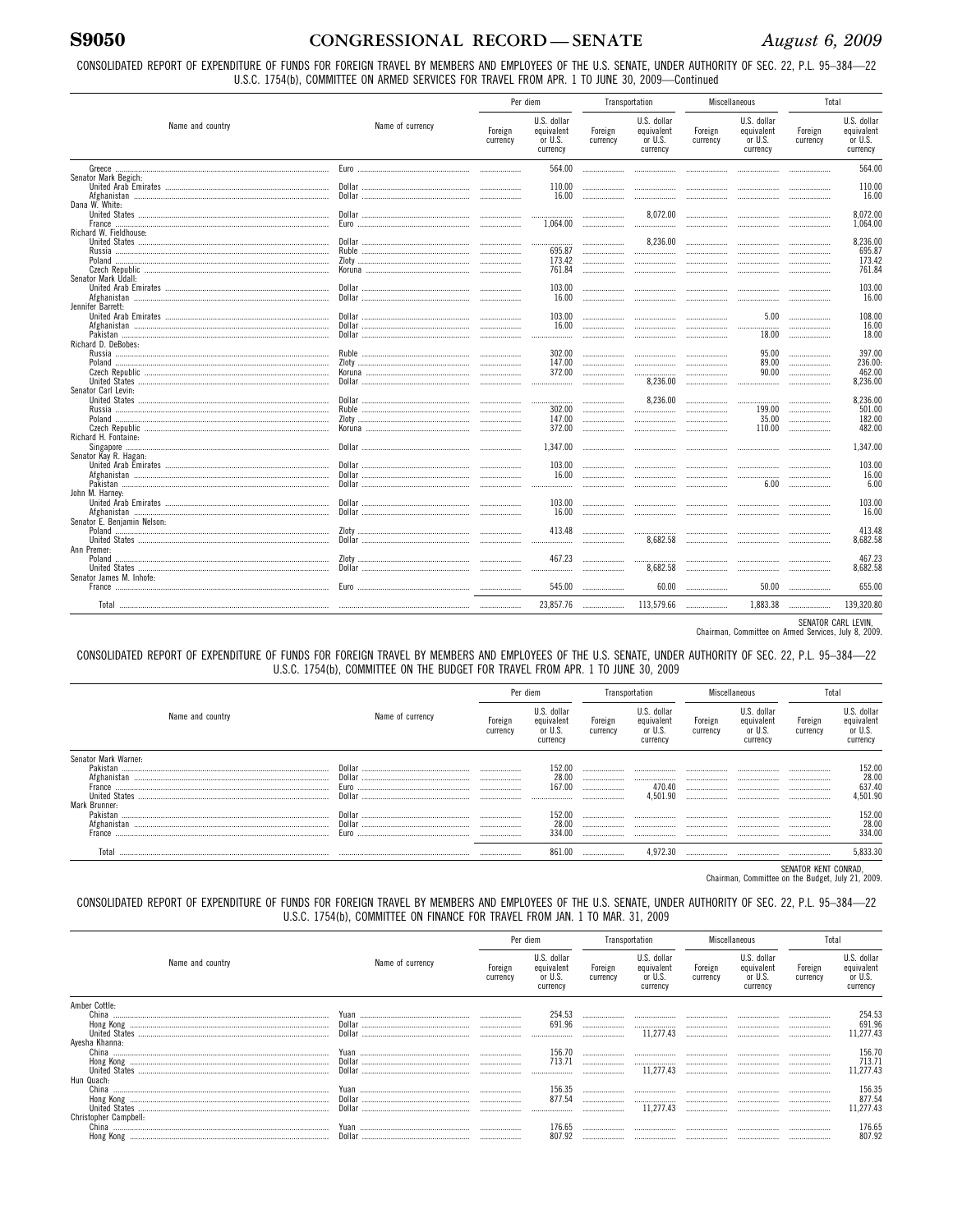# **S9050**

# CONGRESSIONAL RECORD-SENATE

CONSOLIDATED REPORT OF EXPENDITURE OF FUNDS FOR FOREIGN TRAVEL BY MEMBERS AND EMPLOYEES OF THE U.S. SENATE, UNDER AUTHORITY OF SEC. 22, P.L. 95-384-22 U.S.C. 1754(b), COMMITTEE ON ARMED SERVICES FOR TRAVEL FROM APR. 1 TO JUNE 30, 2009-Continued

|                                                         |                  | Per diem            |                                                  | Transportation      |                                                  |                     | Miscellaneous                                    | Total               |                                                     |
|---------------------------------------------------------|------------------|---------------------|--------------------------------------------------|---------------------|--------------------------------------------------|---------------------|--------------------------------------------------|---------------------|-----------------------------------------------------|
| Name and country                                        | Name of currency | Foreign<br>currency | U.S. dollar<br>equivalent<br>or U.S.<br>currency | Foreign<br>currency | U.S. dollar<br>equivalent<br>or U.S.<br>currency | Foreign<br>currency | U.S. dollar<br>equivalent<br>or U.S.<br>currency | Foreign<br>currency | U.S. dollar<br>equivalent<br>or U.S.<br>currency    |
|                                                         |                  |                     | 564.00                                           |                     |                                                  |                     |                                                  |                     | 564.00                                              |
| Senator Mark Begich:                                    |                  |                     | 110.00<br>16.00                                  |                     |                                                  |                     |                                                  |                     | 110.00<br>16.00                                     |
| Dana W. White:                                          |                  |                     | <br>1.064.00                                     |                     | 8.072.00                                         |                     |                                                  |                     | 8.072.00<br>1.064.00                                |
| Richard W. Fieldhouse:                                  |                  |                     | <br>695.87<br>173.42<br>761.84                   | <br><br><br>        | 8.236.00<br><br>                                 | <br><br><br>        |                                                  |                     | 8.236.00<br>695.87<br>173.42<br>761.84              |
| Senator Mark Udall:<br>Afghanistan<br>Jennifer Barrett: |                  |                     | 103.00<br>16.00                                  | .                   |                                                  | <br>                |                                                  |                     | 103.00<br>16.00                                     |
|                                                         |                  | .                   | 103.00<br>16.00                                  |                     | <br>                                             |                     | 5.00<br><br>18.00                                | .<br><br>.          | 108.00<br>16.00<br>18.00                            |
| Richard D. DeBobes:                                     |                  |                     | 302.00<br>147.00<br>372.00<br>.                  | <br>                | <br><br>8.236.00                                 | <br>                | 95.00<br>89.00<br>90.00<br>.                     | <br>                | 397.00<br>236.00 <sub>1</sub><br>462.00<br>8.236.00 |
| Senator Carl Levin:                                     |                  |                     | 302.00<br>147.00<br>372.00                       | <br><br>            | 8,236.00<br>.<br><br>                            |                     | .<br>199.00<br>35.00<br>110.00                   | .<br>               | 8.236.00<br>501.00<br>182.00<br>482.00              |
| Richard H. Fontaine:                                    |                  |                     | 1.347.00                                         |                     |                                                  |                     |                                                  |                     | 1.347.00                                            |
| Senator Kay R. Hagan:                                   |                  |                     | 103.00<br>16.00<br>.                             |                     |                                                  |                     | 6.00                                             |                     | 103.00<br>16.00<br>6.00                             |
| John M. Harnev:                                         |                  |                     | 103.00<br>16.00                                  |                     |                                                  |                     |                                                  |                     | 103.00<br>16.00                                     |
| Senator E. Benjamin Nelson:                             |                  |                     | 413.48<br>                                       |                     | <br>8.682.58                                     | <br>                |                                                  |                     | 413.48<br>8.682.58                                  |
| Ann Premer:<br>Senator James M. Inhofe:                 |                  |                     | 467.23<br>                                       |                     | 8.682.58                                         | <br>                |                                                  |                     | 467.23<br>8.682.58                                  |
|                                                         |                  |                     | 545.00                                           |                     | 60.00                                            |                     | 50.00                                            |                     | 655.00                                              |
|                                                         |                  |                     | 23.857.76                                        |                     | 113,579.66                                       |                     | 1.883.38                                         |                     | 139.320.80                                          |

SENATOR CARL LEVIN,<br>Chairman, Committee on Armed Services, July 8, 2009.

#### CONSOLIDATED REPORT OF EXPENDITURE OF FUNDS FOR FOREIGN TRAVEL BY MEMBERS AND EMPLOYEES OF THE U.S. SENATE, UNDER AUTHORITY OF SEC. 22, P.L. 95-384-22 U.S.C. 1754(b), COMMITTEE ON THE BUDGET FOR TRAVEL FROM APR. 1 TO JUNE 30, 2009

|                      |                  | Per diem            |                                                  | Transportation      |                                                  | Miscellaneous       |                                                  | Total                       |                                                  |
|----------------------|------------------|---------------------|--------------------------------------------------|---------------------|--------------------------------------------------|---------------------|--------------------------------------------------|-----------------------------|--------------------------------------------------|
| Name and country     | Name of currency | Foreign<br>currency | U.S. dollar<br>equivalent<br>or U.S.<br>currency | Foreign<br>currency | U.S. dollar<br>equivalent<br>or U.S.<br>currency | Foreign<br>currency | U.S. dollar<br>equivalent<br>or U.S.<br>currency | Foreign<br>currency         | U.S. dollar<br>equivalent<br>or U.S.<br>currency |
| Senator Mark Warner: |                  |                     |                                                  |                     |                                                  |                     |                                                  |                             |                                                  |
| Pakistan             | Dollar           |                     |                                                  |                     |                                                  |                     |                                                  |                             | 152.00<br>28.00<br>637.40<br>501.90              |
|                      | Dollar           |                     | 28.0                                             |                     |                                                  |                     |                                                  |                             |                                                  |
|                      | <b>Euro</b>      |                     | 167.00                                           |                     | 470.40                                           |                     |                                                  |                             |                                                  |
|                      | Dollar           |                     |                                                  |                     | 4.501.90                                         |                     |                                                  |                             |                                                  |
| Mark Brunner:        |                  |                     |                                                  |                     |                                                  |                     |                                                  |                             |                                                  |
|                      | Dollar           |                     | 152.0                                            |                     |                                                  |                     |                                                  |                             | 152.00                                           |
|                      |                  |                     | 28.0                                             |                     |                                                  |                     |                                                  |                             | 28.00                                            |
|                      | Euro             |                     | 334.00                                           |                     |                                                  |                     |                                                  |                             | 334.00                                           |
| Total                |                  |                     |                                                  |                     |                                                  |                     |                                                  |                             | 5.833.30                                         |
|                      |                  |                     |                                                  |                     |                                                  |                     |                                                  | <b>AFRICAN UFFIN AALLAA</b> |                                                  |

SENATOR KENT CONRAD,<br>Chairman, Committee on the Budget, July 21, 2009.

#### CONSOLIDATED REPORT OF EXPENDITURE OF FUNDS FOR FOREIGN TRAVEL BY MEMBERS AND EMPLOYEES OF THE U.S. SENATE, UNDER AUTHORITY OF SEC. 22, P.L. 95-384-22 U.S.C. 1754(b), COMMITTEE ON FINANCE FOR TRAVEL FROM JAN. 1 TO MAR. 31, 2009

|                       |                                                                            | Per diem            |                                                  | Transportation      |                                                  | Miscellaneous       |                                                  | Total               |                                                  |
|-----------------------|----------------------------------------------------------------------------|---------------------|--------------------------------------------------|---------------------|--------------------------------------------------|---------------------|--------------------------------------------------|---------------------|--------------------------------------------------|
| Name and country      | Name of currency                                                           | Foreign<br>currency | U.S. dollar<br>equivalent<br>or U.S.<br>currency | Foreign<br>currency | U.S. dollar<br>equivalent<br>or U.S.<br>currency | Foreign<br>currency | U.S. dollar<br>equivalent<br>or U.S.<br>currency | Foreign<br>currency | U.S. dollar<br>equivalent<br>or U.S.<br>currency |
| Amber Cottle:         |                                                                            |                     |                                                  |                     |                                                  |                     |                                                  |                     |                                                  |
|                       |                                                                            |                     |                                                  |                     |                                                  |                     |                                                  |                     | 254.53<br>691.96<br>11,277.43                    |
|                       |                                                                            |                     | 691.96                                           |                     |                                                  |                     |                                                  |                     |                                                  |
|                       | $\begin{minipage}{0.9\linewidth} \textbf{Dollar} \textbf{} \end{minipage}$ |                     |                                                  |                     | 11.277.43                                        |                     |                                                  |                     |                                                  |
| Ayesha Khanna:        |                                                                            |                     |                                                  |                     |                                                  |                     |                                                  |                     |                                                  |
|                       |                                                                            |                     | 156.70<br>713.71                                 |                     |                                                  |                     |                                                  |                     |                                                  |
|                       |                                                                            |                     |                                                  |                     | <br>11.277.43                                    |                     |                                                  |                     | 156.70<br>713.71<br>1,277.43                     |
| Hun Quach:            |                                                                            |                     |                                                  |                     |                                                  |                     |                                                  |                     |                                                  |
|                       |                                                                            |                     | 156.35                                           |                     |                                                  |                     |                                                  |                     | 156.35                                           |
|                       |                                                                            |                     | 877.54                                           |                     |                                                  |                     |                                                  |                     | 877.54                                           |
|                       |                                                                            |                     |                                                  |                     | 11.277.43                                        |                     |                                                  |                     | 1,277.43                                         |
| Christopher Campbell: |                                                                            |                     |                                                  |                     |                                                  |                     |                                                  |                     |                                                  |
|                       |                                                                            |                     | 176.65                                           |                     |                                                  |                     |                                                  |                     | 176.65                                           |
|                       |                                                                            |                     | 807.92                                           |                     |                                                  |                     | $\ldots \ldots \ldots \ldots \ldots$             |                     | 807.92                                           |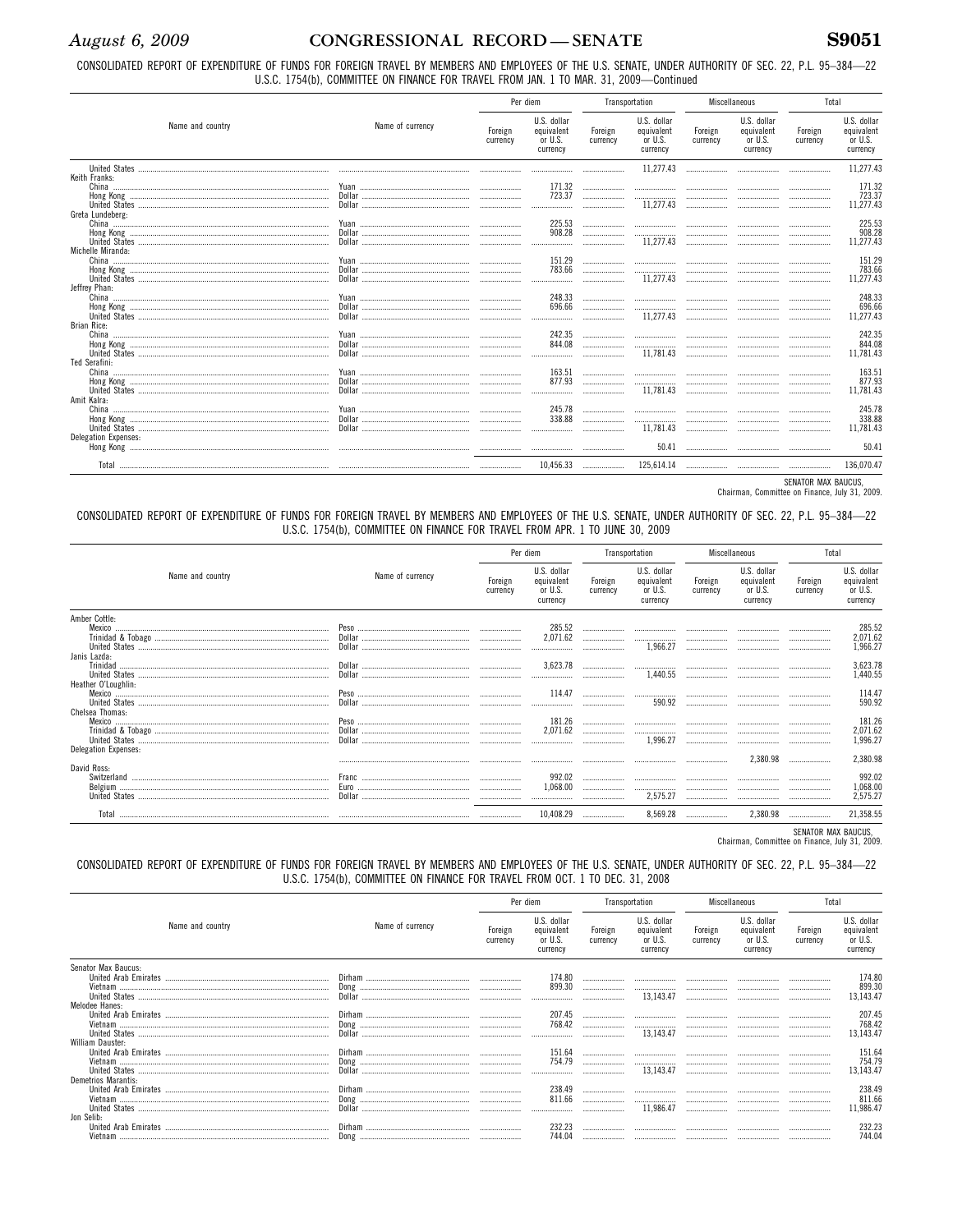# August 6, 2009

# CONGRESSIONAL RECORD-SENATE

CONSOLIDATED REPORT OF EXPENDITURE OF FUNDS FOR FOREIGN TRAVEL BY MEMBERS AND EMPLOYEES OF THE U.S. SENATE, UNDER AUTHORITY OF SEC. 22, P.L. 95-384-22 U.S.C. 1754(b), COMMITTEE ON FINANCE FOR TRAVEL FROM JAN. 1 TO MAR. 31, 2009-Continued

|                                   |                  | Per diem            |                                                  | Transportation      |                                                  | Miscellaneous       |                                                  | Total               |                                                  |
|-----------------------------------|------------------|---------------------|--------------------------------------------------|---------------------|--------------------------------------------------|---------------------|--------------------------------------------------|---------------------|--------------------------------------------------|
| Name and country                  | Name of currency | Foreign<br>currency | U.S. dollar<br>equivalent<br>or U.S.<br>currency | Foreign<br>currency | U.S. dollar<br>equivalent<br>or U.S.<br>currency | Foreign<br>currency | U.S. dollar<br>equivalent<br>or U.S.<br>currency | Foreign<br>currency | U.S. dollar<br>equivalent<br>or U.S.<br>currency |
|                                   |                  |                     |                                                  |                     | 11,277.43                                        |                     |                                                  |                     | 11.277.43                                        |
| Keith Franks:<br>Greta Lundeberg: |                  |                     | 171.32<br>723.37<br>                             | <br>                | <br><br>11,277.43                                | <br>                | <br>                                             |                     | 171.32<br>723.37<br>11.277.43                    |
| Michelle Miranda:                 |                  | <br>                | 225.53<br>908.28<br>                             |                     | <br><br>11,277.43                                | <br>                |                                                  |                     | 225.53<br>908.28<br>11,277.43                    |
| Jeffrey Phan:                     |                  | <br><br>            | 151.29<br>783.66<br>                             |                     | <br><br>11.277.43                                | <br><br>            | <br>                                             |                     | 151.29<br>783.66<br>11.277.43                    |
| <b>Brian Rice:</b>                |                  |                     | 248.33<br>696.66<br>                             |                     | <br><br>11,277.43                                | <br>                | <br>                                             |                     | 248.33<br>696.66<br>11.277.43                    |
| Ted Serafini:                     |                  | <br>                | 242.35<br>844.08<br>                             |                     | <br><br>11,781.43                                | <br>                |                                                  |                     | 242.35<br>844.08<br>11,781.43                    |
| Amit Kalra:                       |                  | <br><br>            | 163.51<br>877.93<br>                             |                     | <br><br>11.781.43                                | .<br><br>           |                                                  |                     | 163.51<br>877.93<br>11.781.43                    |
| Delegation Expenses:              |                  | <br>                | 245.78<br>338.88<br>                             | <br>                | <br><br>11.781.43                                | <br>                |                                                  |                     | 245.78<br>338.88<br>11.781.43                    |
|                                   |                  |                     |                                                  |                     | 50.41                                            |                     |                                                  |                     | 50.41                                            |
|                                   |                  |                     | 10,456.33                                        |                     | 125,614.14                                       |                     |                                                  |                     | 136,070.47                                       |

SENATOR MAX BAUCUS,<br>Chairman, Committee on Finance, July 31, 2009.

CONSOLIDATED REPORT OF EXPENDITURE OF FUNDS FOR FOREIGN TRAVEL BY MEMBERS AND EMPLOYEES OF THE U.S. SENATE, UNDER AUTHORITY OF SEC. 22, P.L. 95-384-22 U.S.C. 1754(b), COMMITTEE ON FINANCE FOR TRAVEL FROM APR. 1 TO JUNE 30, 2009

|                                     |                                                                                                                                                                                     |                     | Per diem                                         | Transportation      |                                                                                                       | Miscellaneous       |                                                  | Total               |                                                  |
|-------------------------------------|-------------------------------------------------------------------------------------------------------------------------------------------------------------------------------------|---------------------|--------------------------------------------------|---------------------|-------------------------------------------------------------------------------------------------------|---------------------|--------------------------------------------------|---------------------|--------------------------------------------------|
| Name and country                    | Name of currency                                                                                                                                                                    | Foreign<br>currency | U.S. dollar<br>equivalent<br>or U.S.<br>currency | Foreign<br>currency | U.S. dollar<br>equivalent<br>or U.S.<br>currency                                                      | Foreign<br>currency | U.S. dollar<br>equivalent<br>or U.S.<br>currency | Foreign<br>currency | U.S. dollar<br>equivalent<br>or U.S.<br>currency |
| Amber Cottle:<br>Mexico             |                                                                                                                                                                                     |                     | 285.52<br>2,071.62<br>                           | <br>                | <br>1.966.27                                                                                          | <br>                | <br>                                             | .                   | 285.52<br>2,071.62<br>1,966.27                   |
| Janis Lazda:<br>Heather O'Loughlin: | $\textbf{Dollar} \textcolor{red}{} \textcolor{red}{} \textcolor{red}{} \textcolor{red}{} \textcolor{red}{} \textcolor{red}{} \textcolor{red}{} \textcolor{red}{} \textcolor{red}{}$ |                     | 3.623.78                                         |                     | 1.440.55                                                                                              |                     |                                                  |                     | 3,623.78<br>1,440.55                             |
| Chelsea Thomas:                     |                                                                                                                                                                                     |                     | 114.47<br>                                       |                     | <br>590.92                                                                                            | <br>                | <br>                                             | <br>                | 114.47<br>590.92                                 |
| <b>Delegation Expenses:</b>         |                                                                                                                                                                                     |                     | 181.26<br>2,071.62<br>                           |                     | $\ldots \ldots \ldots \ldots \ldots \ldots \ldots \ldots \ldots \ldots \ldots \ldots$<br><br>1.996.27 |                     | <br>                                             |                     | 181.26<br>2,071.62                               |
|                                     |                                                                                                                                                                                     |                     |                                                  |                     |                                                                                                       |                     | 2.380.98                                         |                     | 2,380.98                                         |
| David Ross:                         |                                                                                                                                                                                     |                     | 992.02<br>1,068.00<br>                           | <br>                | <br><br>2,575.27                                                                                      |                     | <br>.<br>                                        | .<br>               | 992.02<br>1,068.00<br>2,575.27                   |
| Total                               |                                                                                                                                                                                     |                     | 10,408.29                                        |                     | 8,569.28                                                                                              |                     | 2,380.98                                         |                     | 21,358.55                                        |

SENATOR MAX BAUCUS,<br>Chairman, Committee on Finance, July 31, 2009.

#### CONSOLIDATED REPORT OF EXPENDITURE OF FUNDS FOR FOREIGN TRAVEL BY MEMBERS AND EMPLOYEES OF THE U.S. SENATE, UNDER AUTHORITY OF SEC. 22, P.L. 95-384-22 U.S.C. 1754(b), COMMITTEE ON FINANCE FOR TRAVEL FROM OCT. 1 TO DEC. 31, 2008

|                     |                  |                     | Per diem                                         | Transportation      |                                                  | Miscellaneous       |                                                  | Total               |                                                  |
|---------------------|------------------|---------------------|--------------------------------------------------|---------------------|--------------------------------------------------|---------------------|--------------------------------------------------|---------------------|--------------------------------------------------|
| Name and country    | Name of currency | Foreign<br>currency | U.S. dollar<br>equivalent<br>or U.S.<br>currency | Foreign<br>currency | U.S. dollar<br>equivalent<br>or U.S.<br>currency | Foreign<br>currency | U.S. dollar<br>equivalent<br>or U.S.<br>currency | Foreign<br>currency | U.S. dollar<br>equivalent<br>or U.S.<br>currency |
| Senator Max Baucus: |                  |                     |                                                  |                     |                                                  |                     |                                                  |                     |                                                  |
|                     |                  |                     | 174.80                                           |                     |                                                  |                     |                                                  |                     | 174.80                                           |
|                     |                  |                     | 899.30                                           |                     |                                                  |                     |                                                  |                     | 899.30                                           |
|                     |                  |                     |                                                  |                     | 13.143.47                                        |                     |                                                  |                     | 3,143.47                                         |
| Melodee Hanes:      |                  |                     |                                                  |                     |                                                  |                     |                                                  |                     |                                                  |
|                     |                  |                     | 207.45                                           |                     |                                                  |                     |                                                  |                     | 207.45                                           |
|                     |                  |                     | 768.42                                           |                     |                                                  |                     |                                                  |                     | 768.42<br>3,143.47                               |
| William Dauster:    |                  |                     |                                                  |                     | 13,143.47                                        |                     |                                                  |                     |                                                  |
|                     |                  |                     | 151.64                                           |                     |                                                  |                     |                                                  |                     | 151.64                                           |
|                     |                  |                     | 754.79                                           | <br>                |                                                  |                     |                                                  |                     | 754.79                                           |
|                     |                  |                     |                                                  |                     | <br>13.143.47                                    |                     |                                                  |                     | 3.143.47                                         |
| Demetrios Marantis: |                  |                     |                                                  |                     |                                                  |                     |                                                  |                     |                                                  |
|                     |                  |                     | 238.49                                           |                     |                                                  |                     |                                                  |                     | 238.49                                           |
|                     |                  |                     | 811.66                                           |                     |                                                  |                     |                                                  |                     | 811.66                                           |
|                     |                  |                     |                                                  |                     | 11.986.47                                        |                     |                                                  |                     | 1,986.47                                         |
| Jon Selib:          |                  |                     |                                                  |                     |                                                  |                     |                                                  |                     |                                                  |
|                     |                  |                     |                                                  |                     |                                                  |                     |                                                  |                     | 232.23                                           |
|                     |                  |                     | 744.04                                           |                     |                                                  |                     |                                                  |                     | 744.04                                           |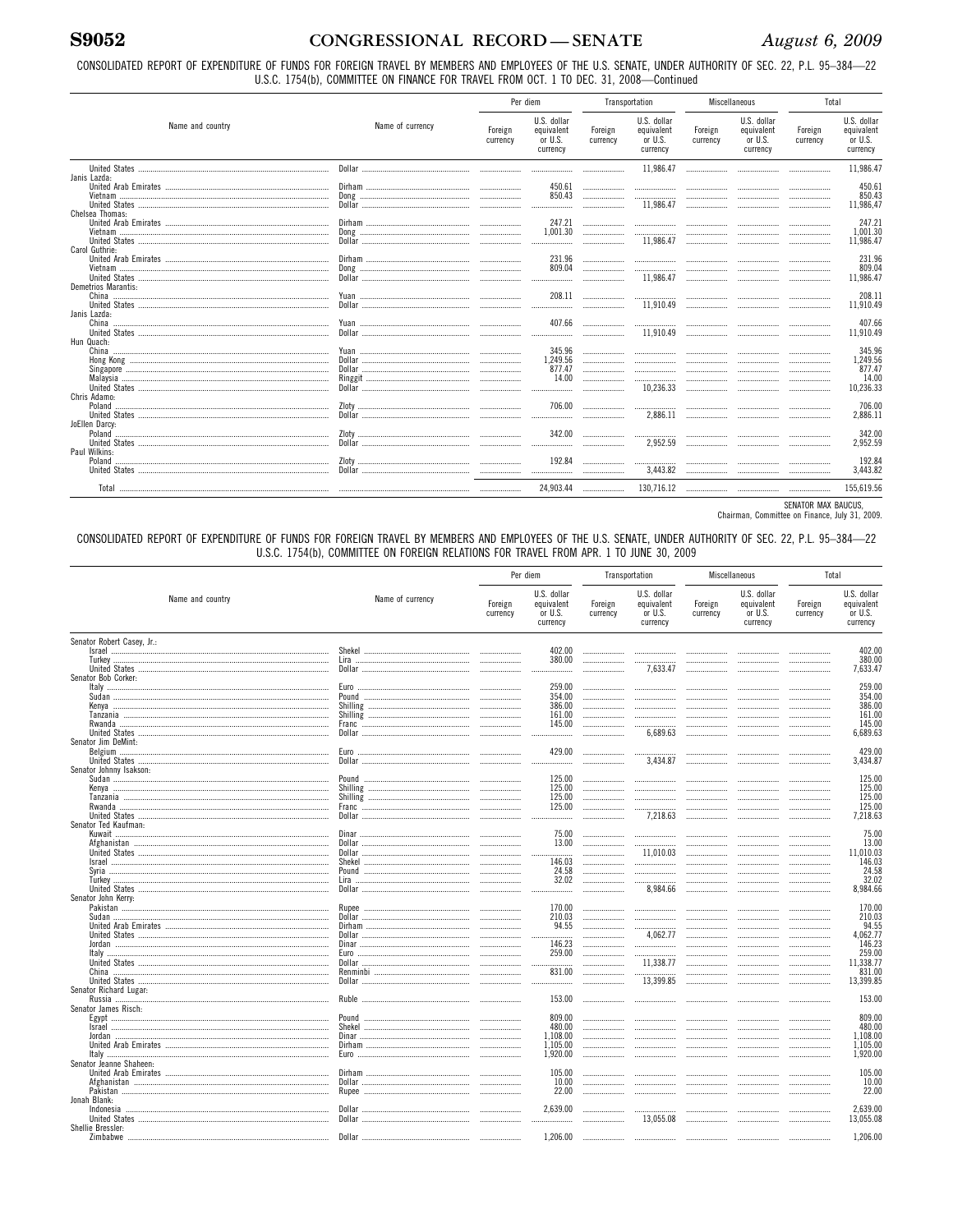CONSOLIDATED REPORT OF EXPENDITURE OF FUNDS FOR FOREIGN TRAVEL BY MEMBERS AND EMPLOYEES OF THE U.S. SENATE, UNDER AUTHORITY OF SEC. 22, P.L. 95-384-22 U.S.C. 1754(b), COMMITTEE ON FINANCE FOR TRAVEL FROM OCT. 1 TO DEC. 31, 2008-Continued

|                                     |                  | Per diem            |                                                  | Transportation      |                                                  | Miscellaneous       |                                                  | Total               |                                                    |
|-------------------------------------|------------------|---------------------|--------------------------------------------------|---------------------|--------------------------------------------------|---------------------|--------------------------------------------------|---------------------|----------------------------------------------------|
| Name and country                    | Name of currency | Foreign<br>currency | U.S. dollar<br>equivalent<br>or U.S.<br>currency | Foreign<br>currency | U.S. dollar<br>equivalent<br>or U.S.<br>currency | Foreign<br>currency | U.S. dollar<br>equivalent<br>or U.S.<br>currency | Foreign<br>currency | U.S. dollar<br>equivalent<br>or U.S.<br>currency   |
|                                     |                  |                     |                                                  |                     | 11.986.47                                        |                     | .                                                |                     | 11.986.47                                          |
| Janis Lazda:                        |                  |                     | 450.61<br>850.43<br>                             | <br><br>            | <br><br>11.986.47                                | <br><br>            | <br><br>                                         |                     | 450.61<br>850.43<br>11.986.47                      |
| Chelsea Thomas:                     |                  |                     | 247.21<br>1.001.30                               | <br><br>            | <br><br>11.986.47                                | <br>                | <br><br>                                         |                     | 247.21<br>1.001.30<br>11.986.47                    |
| Carol Guthrie:                      |                  | .                   | 231.96<br>809.04<br>                             | <br>                | <br><br>11.986.47                                | <br>                | <br>                                             |                     | 231.96<br>809.04<br>11.986.47                      |
| Demetrios Marantis:<br>Janis Lazda: |                  |                     | 208.11<br>                                       |                     | <br>11,910.49                                    | <br>                | <br>                                             |                     | 208.11<br>11.910.49                                |
| Hun Quach:                          |                  |                     | 407.66<br>                                       | <br>                | <br>11.910.49                                    | <br>                | <br>                                             |                     | 407.66<br>11.910.49                                |
|                                     |                  |                     | 345.96<br>1.249.56<br>877.47<br>14.00<br>        | <br><br><br>        | <br><br><br><br>10,236.33                        | <br><br><br>        | <br><br><br>                                     |                     | 345.96<br>1.249.56<br>877.47<br>14.00<br>10.236.33 |
| Chris Adamo:<br>JoEllen Darcy:      |                  | <br>                | 706.00<br>                                       | <br>                | <br>2.886.11                                     | <br>                | <br>                                             |                     | 706.00<br>2.886.11                                 |
| Paul Wilkins:                       |                  | <br>                | 342.00<br>                                       |                     | <br>2,952.59                                     |                     |                                                  |                     | 342.00<br>2.952.59                                 |
|                                     |                  |                     | 192.84<br>                                       | <br>                | <br>3,443.82                                     | <br>                | <br>                                             |                     | 192.84<br>3.443.82                                 |
|                                     |                  |                     | 24.903.44                                        |                     | 130.716.12                                       |                     |                                                  |                     | 155.619.56                                         |

SENATOR MAX BAUCUS,<br>Chairman, Committee on Finance, July 31, 2009.

CONSOLIDATED REPORT OF EXPENDITURE OF FUNDS FOR FOREIGN TRAVEL BY MEMBERS AND EMPLOYEES OF THE U.S. SENATE, UNDER AUTHORITY OF SEC. 22, P.L. 95-384-22 U.S.C. 1754(b), COMMITTEE ON FOREIGN RELATIONS FOR TRAVEL FROM APR. 1 TO JUNE 30, 2009

|                                                 |                  |                     | Per diem                                         |                     | Transportation                                   | Miscellaneous       |                                                  | Total               |                                                  |
|-------------------------------------------------|------------------|---------------------|--------------------------------------------------|---------------------|--------------------------------------------------|---------------------|--------------------------------------------------|---------------------|--------------------------------------------------|
| Name and country                                | Name of currency | Foreign<br>currency | U.S. dollar<br>equivalent<br>or U.S.<br>currency | Foreign<br>currency | U.S. dollar<br>equivalent<br>or U.S.<br>currency | Foreign<br>currency | U.S. dollar<br>equivalent<br>or U.S.<br>currency | Foreign<br>currency | U.S. dollar<br>equivalent<br>or U.S.<br>currency |
| Senator Robert Casev. Jr.:                      |                  |                     |                                                  |                     |                                                  |                     |                                                  |                     |                                                  |
|                                                 |                  |                     | 402.00                                           |                     |                                                  |                     |                                                  |                     | 402.00                                           |
|                                                 |                  |                     | 380.00                                           |                     |                                                  |                     |                                                  |                     | 380.00                                           |
| Senator Bob Corker:                             |                  |                     |                                                  |                     | 7.633.47                                         |                     |                                                  | .                   | 7.633.47                                         |
|                                                 |                  |                     | 259.00                                           |                     |                                                  |                     |                                                  |                     | 259.00                                           |
|                                                 |                  |                     | 354.00                                           | .                   |                                                  |                     |                                                  |                     | 354.00                                           |
|                                                 |                  |                     | 386.00                                           | <br>                |                                                  |                     |                                                  |                     | 386.00                                           |
|                                                 |                  |                     | 161.00                                           |                     |                                                  |                     |                                                  | .                   | 161.00                                           |
|                                                 |                  |                     | 145.00                                           |                     | .                                                |                     |                                                  |                     | 145.00                                           |
|                                                 |                  |                     |                                                  |                     | 6,689.63                                         |                     |                                                  |                     | 6,689.63                                         |
| Senator Jim DeMint:                             |                  |                     |                                                  |                     |                                                  |                     |                                                  |                     |                                                  |
|                                                 | Euro.            |                     | 429.00                                           |                     |                                                  |                     |                                                  |                     | 429.00                                           |
|                                                 |                  |                     |                                                  |                     | 3,434.87                                         |                     |                                                  |                     | 3.434.87                                         |
| Senator Johnny Isakson:                         |                  |                     |                                                  |                     |                                                  |                     |                                                  |                     |                                                  |
|                                                 |                  |                     | 125.00                                           |                     | .                                                |                     |                                                  |                     | 125.00                                           |
|                                                 |                  |                     | 125.00                                           |                     |                                                  |                     |                                                  | .                   | 125.00                                           |
|                                                 |                  |                     | 125.00                                           |                     |                                                  |                     |                                                  |                     | 125.00                                           |
| Rwanda …………………………………………………………………………………………       |                  |                     | 125.00                                           |                     |                                                  |                     |                                                  |                     | 125.00                                           |
|                                                 |                  |                     |                                                  |                     | 7,218.63                                         |                     |                                                  |                     | 7.218.63                                         |
| Senator Ted Kaufman:                            |                  |                     |                                                  |                     |                                                  |                     |                                                  |                     |                                                  |
|                                                 |                  |                     | 75.00                                            |                     |                                                  |                     |                                                  |                     | 75.00                                            |
|                                                 |                  |                     | 13.00                                            |                     |                                                  |                     |                                                  |                     | 13.00                                            |
|                                                 |                  |                     |                                                  |                     | 11.010.03                                        |                     |                                                  |                     | 11.010.03                                        |
|                                                 | Shekel           |                     | 146.03                                           |                     |                                                  |                     |                                                  |                     | 146.03                                           |
|                                                 |                  |                     | 24.58                                            |                     |                                                  |                     |                                                  |                     | 24.58                                            |
|                                                 | Lira             |                     | 32.02                                            |                     |                                                  |                     |                                                  |                     | 32.02                                            |
|                                                 |                  |                     |                                                  |                     | 8,984.66                                         |                     |                                                  |                     | 8.984.66                                         |
| Senator John Kerry:                             |                  |                     |                                                  |                     |                                                  |                     |                                                  |                     |                                                  |
|                                                 | Rupee            | .                   | 170.00                                           |                     |                                                  |                     |                                                  |                     | 170.00                                           |
|                                                 |                  |                     | 210.03<br>94.55                                  |                     |                                                  |                     |                                                  |                     | 210.03<br>94.55                                  |
|                                                 |                  |                     |                                                  |                     |                                                  |                     |                                                  |                     | 4.062.77                                         |
|                                                 |                  |                     | .                                                |                     | 4,062.77                                         |                     |                                                  |                     | 146.23                                           |
|                                                 | Euro             |                     | 146.23<br>259.00                                 |                     |                                                  | <br>                |                                                  |                     | 259.00                                           |
|                                                 |                  |                     |                                                  | <br>                | 11.338.77                                        |                     |                                                  |                     | 11.338.77                                        |
| China                                           |                  |                     | .<br>831.00                                      |                     |                                                  |                     |                                                  |                     | 831.00                                           |
|                                                 |                  |                     |                                                  |                     | 13,399.85                                        |                     |                                                  |                     | 13,399.85                                        |
| Senator Richard Lugar:                          |                  |                     |                                                  |                     |                                                  |                     |                                                  |                     |                                                  |
|                                                 |                  |                     | 153.00                                           |                     |                                                  |                     |                                                  |                     | 153.00                                           |
| Senator James Risch:                            |                  |                     |                                                  |                     |                                                  |                     |                                                  |                     |                                                  |
| Egypt …………………………………………………………………………………………        |                  |                     | 809.00                                           |                     |                                                  |                     |                                                  |                     | 809.00                                           |
| <u> srae  ………………………………………………………………………………………</u> |                  |                     | 480.00                                           |                     |                                                  |                     |                                                  |                     | 480.00                                           |
|                                                 |                  |                     | 1.108.00                                         |                     |                                                  |                     |                                                  |                     | 1.108.00                                         |
|                                                 |                  |                     | 1.105.00                                         |                     |                                                  |                     |                                                  |                     | 1,105.00                                         |
|                                                 |                  |                     | 1,920.00                                         |                     |                                                  |                     |                                                  |                     | 1,920.00                                         |
| Senator Jeanne Shaheen:                         |                  |                     |                                                  |                     |                                                  |                     |                                                  |                     |                                                  |
|                                                 |                  |                     | 105.00                                           |                     |                                                  |                     |                                                  |                     | 105.00                                           |
|                                                 |                  |                     | 10.00                                            |                     |                                                  |                     |                                                  |                     | 10.00                                            |
| Pakistan                                        |                  |                     | 22.00                                            |                     |                                                  |                     |                                                  |                     | 22.00                                            |
| Jonah Blank:                                    |                  |                     |                                                  |                     |                                                  |                     |                                                  |                     |                                                  |
| Indonesia                                       |                  | .                   | 2.639.00                                         |                     |                                                  |                     |                                                  |                     | 2.639.00                                         |
|                                                 |                  |                     |                                                  |                     | 13,055.08                                        |                     |                                                  |                     | 13.055.08                                        |
| Shellie Bressler:                               |                  |                     |                                                  |                     |                                                  |                     |                                                  |                     |                                                  |
|                                                 |                  |                     | 1,206.00                                         |                     |                                                  |                     |                                                  |                     | 1.206.00                                         |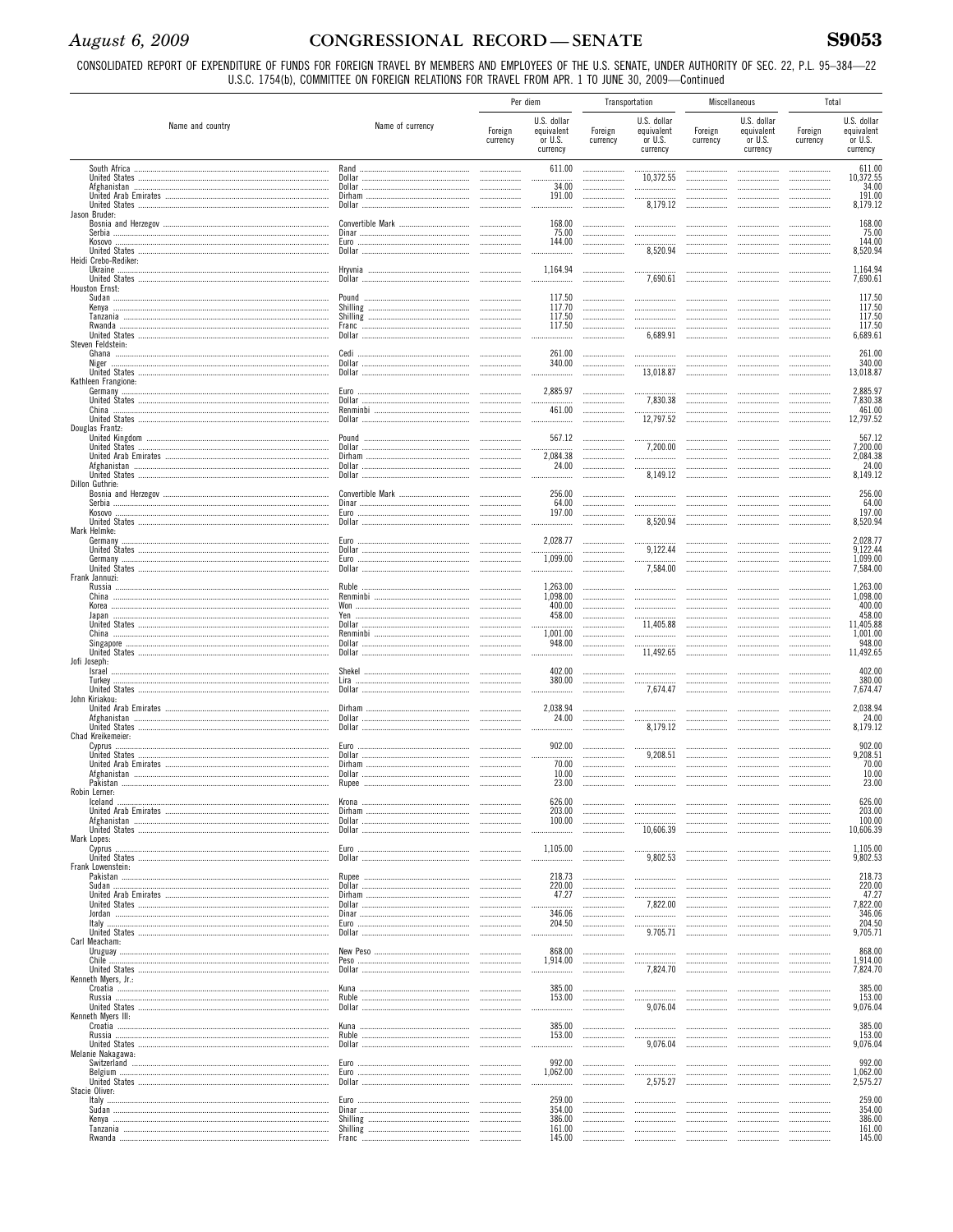# August 6, 2009

# CONGRESSIONAL RECORD-SENATE

CONSOLIDATED REPORT OF EXPENDITURE OF FUNDS FOR FOREIGN TRAVEL BY MEMBERS AND EMPLOYEES OF THE U.S. SENATE, UNDER AUTHORITY OF SEC. 22, P.L. 95–384—22<br>U.S.C. 1754(b), COMMITTEE ON FOREIGN RELATIONS FOR TRAVEL FROM APR. 1 T

|                                         |                  | Per diem            |                                                  |                     | Transportation                                   |                     | <b>Miscellaneous</b>                                                                                                                                                                                                                                                                                                                                                                                                                                                                  | Total               |                                                    |
|-----------------------------------------|------------------|---------------------|--------------------------------------------------|---------------------|--------------------------------------------------|---------------------|---------------------------------------------------------------------------------------------------------------------------------------------------------------------------------------------------------------------------------------------------------------------------------------------------------------------------------------------------------------------------------------------------------------------------------------------------------------------------------------|---------------------|----------------------------------------------------|
| Name and country                        | Name of currency | Foreign<br>currency | U.S. dollar<br>equivalent<br>or U.S.<br>currency | Foreign<br>currency | U.S. dollar<br>equivalent<br>or U.S.<br>currency | Foreign<br>currency | U.S. dollar<br>equivalent<br>or U.S.<br>currency                                                                                                                                                                                                                                                                                                                                                                                                                                      | Foreign<br>currency | U.S. dollar<br>equivalent<br>or $U.S.$<br>currency |
| South Africa                            | Rand<br>Dollar   |                     | 611.00                                           | <br>                | 10,372.55                                        | <br>                |                                                                                                                                                                                                                                                                                                                                                                                                                                                                                       | <br>                | 611.00<br>10,372.55                                |
|                                         |                  |                     | <br>34.00<br>191.00                              |                     |                                                  |                     |                                                                                                                                                                                                                                                                                                                                                                                                                                                                                       |                     | 34.00<br>191.00                                    |
| United States<br>Jason Bruder:          |                  |                     |                                                  |                     | 8,179.12                                         | <br>                |                                                                                                                                                                                                                                                                                                                                                                                                                                                                                       |                     | 8,179.12                                           |
|                                         |                  |                     | 168.00                                           |                     |                                                  |                     |                                                                                                                                                                                                                                                                                                                                                                                                                                                                                       |                     | 168.00                                             |
|                                         |                  |                     | 75.00<br>144.00                                  | <br>                |                                                  | <br>                |                                                                                                                                                                                                                                                                                                                                                                                                                                                                                       |                     | 75.00<br>144.00                                    |
| Heidi Crebo-Rediker:                    |                  |                     |                                                  |                     | 8,520.94                                         |                     |                                                                                                                                                                                                                                                                                                                                                                                                                                                                                       |                     | 8,520.94                                           |
|                                         | Hryvnia          |                     | 1,164.94                                         |                     | 7,690.61                                         |                     |                                                                                                                                                                                                                                                                                                                                                                                                                                                                                       |                     | 1,164.94<br>7,690.61                               |
| Houston Ernst:                          |                  |                     | 117.50                                           |                     |                                                  |                     |                                                                                                                                                                                                                                                                                                                                                                                                                                                                                       |                     | 117.50                                             |
|                                         |                  | .                   | 117.70<br>117.50                                 |                     |                                                  |                     | $\cdots$<br>$\cdots$                                                                                                                                                                                                                                                                                                                                                                                                                                                                  |                     | 117.50<br>117.50                                   |
|                                         |                  |                     | 117.50                                           | <br>                |                                                  | <br>.               |                                                                                                                                                                                                                                                                                                                                                                                                                                                                                       |                     | 117.50                                             |
| Steven Feldstein:                       |                  |                     | .                                                |                     | 6,689.91                                         |                     |                                                                                                                                                                                                                                                                                                                                                                                                                                                                                       |                     | 6,689.61                                           |
| Niger                                   |                  |                     | 261.00<br>340.00                                 |                     |                                                  | .<br>               |                                                                                                                                                                                                                                                                                                                                                                                                                                                                                       |                     | 261.00<br>340.00                                   |
| Kathleen Frangione:                     |                  |                     |                                                  |                     | 13,018.87                                        |                     |                                                                                                                                                                                                                                                                                                                                                                                                                                                                                       |                     | 13,018.87                                          |
|                                         | Dollar           |                     | 2,885.97                                         |                     | 7,830.38                                         | <br>                |                                                                                                                                                                                                                                                                                                                                                                                                                                                                                       |                     | 2,885.97<br>7,830.38                               |
| China                                   |                  |                     | 461.00<br>.                                      | <br>.               | 12,797.52                                        | <br>                |                                                                                                                                                                                                                                                                                                                                                                                                                                                                                       |                     | 461.00<br>12,797.52                                |
| Douglas Frantz:                         |                  |                     |                                                  |                     |                                                  |                     |                                                                                                                                                                                                                                                                                                                                                                                                                                                                                       |                     |                                                    |
|                                         |                  | .                   | 567.12                                           | <br>                | 7.200.00                                         | <br>                |                                                                                                                                                                                                                                                                                                                                                                                                                                                                                       |                     | 567.12<br>7,200.00                                 |
|                                         |                  |                     | 2,084.38<br>24.00                                | <br>                | .                                                | <br>                |                                                                                                                                                                                                                                                                                                                                                                                                                                                                                       |                     | 2,084.38<br>24.00                                  |
| Dillon Guthrie:                         |                  |                     |                                                  |                     | 8,149.12                                         |                     |                                                                                                                                                                                                                                                                                                                                                                                                                                                                                       |                     | 8,149.12                                           |
|                                         |                  | .                   | 256.00<br>64.00                                  | .                   | <br>                                             | <br>                |                                                                                                                                                                                                                                                                                                                                                                                                                                                                                       |                     | 256.00<br>64.00                                    |
| Kosovo                                  |                  |                     | 197.00                                           |                     | 8,520.94                                         | <br>                |                                                                                                                                                                                                                                                                                                                                                                                                                                                                                       |                     | 197.00<br>8,520.94                                 |
| Mark Helmke:                            |                  |                     |                                                  |                     |                                                  |                     |                                                                                                                                                                                                                                                                                                                                                                                                                                                                                       |                     |                                                    |
| Germany                                 |                  | .                   | 2,028.77                                         |                     | 9,122.44                                         | <br>                |                                                                                                                                                                                                                                                                                                                                                                                                                                                                                       |                     | 2,028.77<br>9,122.44                               |
| Germany                                 |                  |                     | 1,099.00<br>.                                    | .                   | 7,584.00                                         | <br>                |                                                                                                                                                                                                                                                                                                                                                                                                                                                                                       |                     | 1,099.00<br>7,584.00                               |
| Frank Jannuzi:                          | Ruble            |                     | 1,263.00                                         | .                   |                                                  |                     |                                                                                                                                                                                                                                                                                                                                                                                                                                                                                       |                     | 1,263.00                                           |
| China                                   |                  | .<br>.              | 1,098.00<br>400.00                               | <br>                | <br>                                             | <br>                | $\cdots$<br>$\cdots$                                                                                                                                                                                                                                                                                                                                                                                                                                                                  |                     | 1,098.00<br>400.00                                 |
|                                         |                  | .                   | 458.00                                           | <br>                | 11,405.88                                        | <br>                | $\cdots$                                                                                                                                                                                                                                                                                                                                                                                                                                                                              |                     | 458.00<br>11,405.88                                |
| China                                   |                  |                     | 1,001.00<br>948.00                               |                     |                                                  |                     |                                                                                                                                                                                                                                                                                                                                                                                                                                                                                       |                     | 1,001.00<br>948.00                                 |
|                                         |                  |                     |                                                  |                     | 11,492.65                                        | <br>                |                                                                                                                                                                                                                                                                                                                                                                                                                                                                                       |                     | 11,492.65                                          |
| Jofi Joseph:<br>Israel                  | Shekel           |                     | 402.00                                           |                     |                                                  |                     |                                                                                                                                                                                                                                                                                                                                                                                                                                                                                       |                     | 402.00                                             |
| Turkey                                  |                  |                     | 380.00                                           |                     | 7,674.47                                         | <br>                |                                                                                                                                                                                                                                                                                                                                                                                                                                                                                       |                     | 380.00<br>7,674.47                                 |
| John Kiriakou:<br>United Arab Emirates  |                  |                     | 2,038.94                                         |                     |                                                  |                     |                                                                                                                                                                                                                                                                                                                                                                                                                                                                                       |                     | 2,038.94                                           |
|                                         |                  |                     | 24.00                                            | .                   | 8,179.12                                         |                     |                                                                                                                                                                                                                                                                                                                                                                                                                                                                                       |                     | 24.00<br>8,179.12                                  |
| Chad Kreikemeier:<br>Cyprus             |                  |                     | 902.00                                           |                     |                                                  |                     |                                                                                                                                                                                                                                                                                                                                                                                                                                                                                       |                     | 902.00                                             |
|                                         |                  |                     | 70.00                                            | <br>                | 9,208.51                                         | <br>                |                                                                                                                                                                                                                                                                                                                                                                                                                                                                                       |                     | 9,208.51<br>70.00                                  |
|                                         | Rupee            |                     | 10.00<br>23.00                                   |                     |                                                  |                     |                                                                                                                                                                                                                                                                                                                                                                                                                                                                                       |                     | 10.00<br>23.00                                     |
| Robin Lerner:                           |                  |                     |                                                  |                     |                                                  |                     |                                                                                                                                                                                                                                                                                                                                                                                                                                                                                       |                     |                                                    |
| Iceland                                 | Krona            |                     | 626.00<br>203.00                                 |                     | <br>.                                            | .<br>               | <br>$\cdots$                                                                                                                                                                                                                                                                                                                                                                                                                                                                          |                     | 626.00<br>203.00                                   |
|                                         |                  |                     | 100.00<br>.                                      | <br>                | 10.606.39                                        | <br>                | <br>                                                                                                                                                                                                                                                                                                                                                                                                                                                                                  | <br>.               | 100.00<br>10.606.39                                |
| Mark Lopes:<br>Cyprus                   |                  | .                   | 1.105.00                                         |                     |                                                  |                     |                                                                                                                                                                                                                                                                                                                                                                                                                                                                                       |                     | 1,105.00                                           |
| Frank Lowenstein:                       |                  |                     | .                                                |                     | 9.802.53                                         |                     |                                                                                                                                                                                                                                                                                                                                                                                                                                                                                       | .                   | 9,802.53                                           |
|                                         |                  |                     | 218.73<br>220.00                                 | .<br>               |                                                  | <br>                |                                                                                                                                                                                                                                                                                                                                                                                                                                                                                       | .<br>               | 218.73<br>220.00                                   |
|                                         |                  | .                   | 47.27                                            |                     | 7,822.00                                         |                     |                                                                                                                                                                                                                                                                                                                                                                                                                                                                                       |                     | 47.27<br>7,822.00                                  |
|                                         |                  |                     | .<br>346.06                                      | <br>                |                                                  |                     |                                                                                                                                                                                                                                                                                                                                                                                                                                                                                       |                     | 346.06<br>204.50                                   |
|                                         |                  | .                   | 204.50<br>                                       | <br>                | 9.705.71                                         |                     | <br>                                                                                                                                                                                                                                                                                                                                                                                                                                                                                  | <br>.               | 9,705.71                                           |
| Carl Meacham:                           |                  |                     | 868.00                                           |                     |                                                  |                     |                                                                                                                                                                                                                                                                                                                                                                                                                                                                                       |                     | 868.00                                             |
|                                         |                  |                     | 1,914.00<br>.                                    | <br>                | 7.824.70                                         | <br>                |                                                                                                                                                                                                                                                                                                                                                                                                                                                                                       | .                   | 1,914.00<br>7,824.70                               |
| Kenneth Myers, Jr.:                     |                  | .                   | 385.00                                           |                     |                                                  |                     |                                                                                                                                                                                                                                                                                                                                                                                                                                                                                       |                     | 385.00                                             |
|                                         |                  |                     | 153.00<br>                                       | <br>                | .<br>9,076.04                                    | <br>                |                                                                                                                                                                                                                                                                                                                                                                                                                                                                                       |                     | 153.00<br>9,076.04                                 |
| Kenneth Myers III:                      |                  |                     | 385.00                                           | .                   |                                                  |                     |                                                                                                                                                                                                                                                                                                                                                                                                                                                                                       |                     | 385.00                                             |
|                                         |                  |                     | 153.00                                           | .                   | .<br>9,076.04                                    |                     |                                                                                                                                                                                                                                                                                                                                                                                                                                                                                       | .                   | 153.00<br>9,076.04                                 |
| Melanie Nakagawa:                       |                  | .                   | .                                                |                     |                                                  |                     |                                                                                                                                                                                                                                                                                                                                                                                                                                                                                       | .                   |                                                    |
|                                         |                  | .                   | 992.00<br>1,062.00                               |                     |                                                  | <br>                | <br>                                                                                                                                                                                                                                                                                                                                                                                                                                                                                  | .                   | 992.00<br>1,062.00                                 |
| Stacie Oliver:                          |                  | .                   |                                                  |                     | 2,575.27                                         |                     |                                                                                                                                                                                                                                                                                                                                                                                                                                                                                       | .                   | 2,575.27                                           |
| Italy ……………………………………………………………………………………… |                  |                     | 259.00<br>354.00                                 | <br>                |                                                  |                     |                                                                                                                                                                                                                                                                                                                                                                                                                                                                                       |                     | 259.00<br>354.00                                   |
|                                         |                  | .                   | 386.00<br>161.00                                 | <br>                |                                                  |                     | $\begin{minipage}{0.5\textwidth} \begin{tabular}{@{}l@{}} \hline \multicolumn{1}{l}{\textbf{0.66\textwidth} \begin{tabular}{@{}l@{}} \hline \multicolumn{1}{l}{\textbf{0.66\textwidth} \begin{tabular}{@{}l@{}} \hline \multicolumn{1}{l}{\textbf{0.66\textwidth} \begin{tabular}{@{}l@{}} \hline \multicolumn{1}{l}{\textbf{0.66\textwidth} \begin{tabular}{@{}l@{}} \hline \multicolumn{1}{l}{\textbf{0.66\textwidth} \begin{tabular}{@{}l@{}} \hline \multicolumn{1}{l}{\text$<br> | .                   | 386.00<br>161.00                                   |
|                                         |                  |                     | 145.00                                           |                     |                                                  |                     |                                                                                                                                                                                                                                                                                                                                                                                                                                                                                       |                     | 145.00                                             |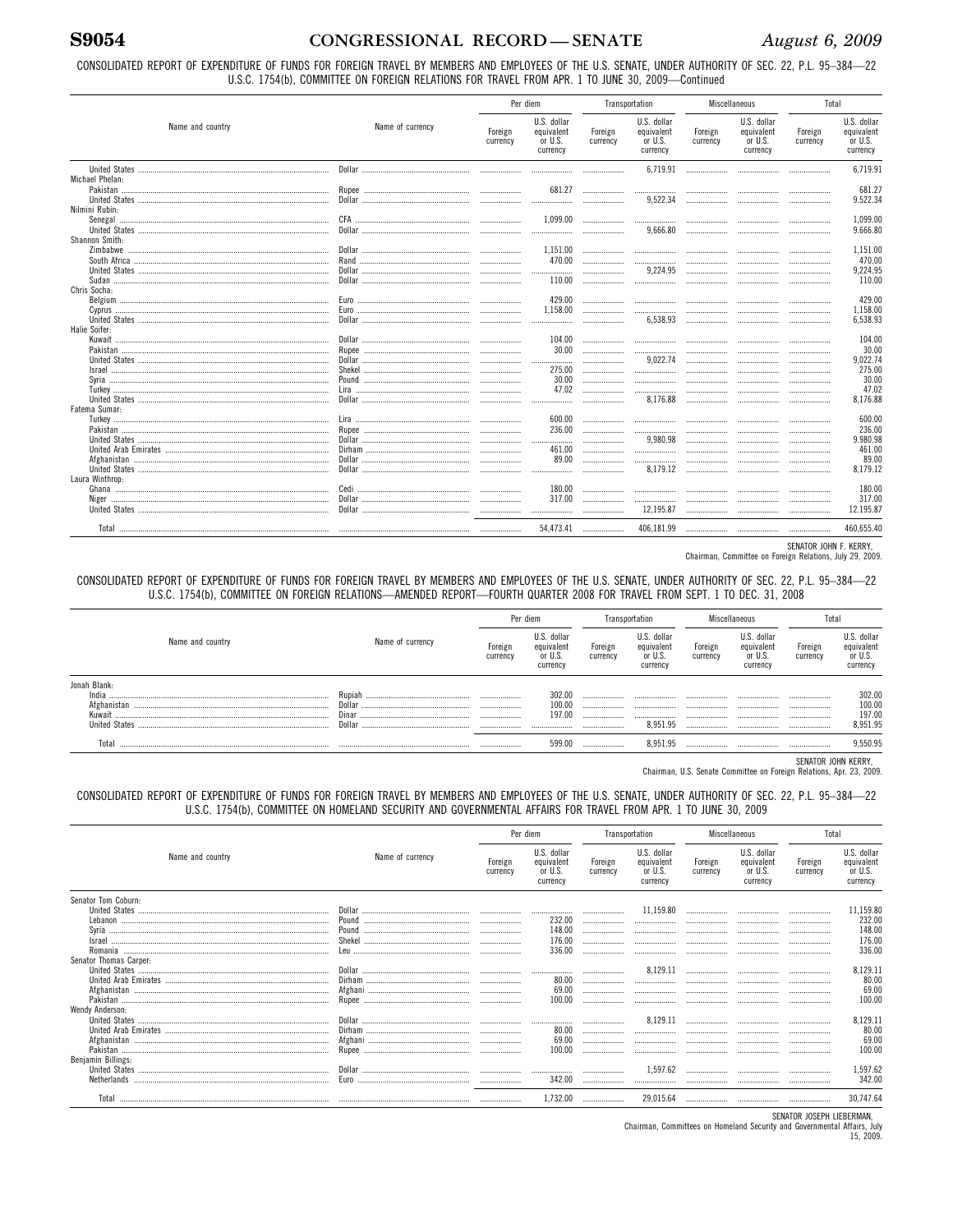CONSOLIDATED REPORT OF EXPENDITURE OF FUNDS FOR FOREIGN TRAVEL BY MEMBERS AND EMPLOYEES OF THE U.S. SENATE, UNDER AUTHORITY OF SEC. 22, P.L. 95-384-22 U.S.C. 1754(b), COMMITTEE ON FOREIGN RELATIONS FOR TRAVEL FROM APR. 1 TO JUNE 30, 2009-Continued

|                                         |                  | Per diem            |                                                  | Transportation      |                                                  | Miscellaneous       |                                                  | Total               |                                                  |
|-----------------------------------------|------------------|---------------------|--------------------------------------------------|---------------------|--------------------------------------------------|---------------------|--------------------------------------------------|---------------------|--------------------------------------------------|
| Name and country                        | Name of currency | Foreign<br>currency | U.S. dollar<br>equivalent<br>or U.S.<br>currency | Foreign<br>currency | U.S. dollar<br>equivalent<br>or U.S.<br>currency | Foreign<br>currency | U.S. dollar<br>equivalent<br>or U.S.<br>currency | Foreign<br>currency | U.S. dollar<br>equivalent<br>or U.S.<br>currency |
|                                         |                  |                     |                                                  |                     | 6.719.91                                         |                     |                                                  |                     | 6.719.91                                         |
| Michael Phelan:                         |                  |                     | 681.27                                           |                     |                                                  |                     |                                                  |                     | 681.27                                           |
|                                         |                  |                     |                                                  | <br>                | <br>9,522.34                                     | .<br>               |                                                  |                     | 9.522.34                                         |
| Nilmini Rubin:                          |                  |                     |                                                  |                     |                                                  |                     |                                                  |                     |                                                  |
|                                         |                  |                     | 1.099.00                                         |                     |                                                  | .                   |                                                  |                     | 1.099.00                                         |
|                                         |                  |                     |                                                  |                     | 9.666.80                                         |                     |                                                  |                     | 9.666.80                                         |
| Shannon Smith:                          |                  |                     |                                                  |                     |                                                  |                     |                                                  |                     |                                                  |
|                                         |                  |                     | 1.151.00                                         |                     |                                                  |                     |                                                  |                     | 1.151.00                                         |
|                                         |                  |                     | 470.00                                           |                     |                                                  |                     |                                                  |                     | 470.00<br>9.224.95                               |
|                                         |                  |                     | .<br>110.00                                      |                     | 9,224.95                                         |                     |                                                  |                     | 110.00                                           |
| Chris Socha:                            |                  |                     |                                                  |                     |                                                  |                     |                                                  |                     |                                                  |
|                                         |                  |                     | 429.00                                           |                     |                                                  |                     |                                                  |                     | 429.00                                           |
|                                         |                  |                     | 1.158.00                                         |                     |                                                  |                     |                                                  |                     | 1,158.00                                         |
|                                         |                  |                     |                                                  |                     | 6.538.93                                         |                     |                                                  |                     | 6.538.93                                         |
| Halie Soifer:                           |                  |                     |                                                  |                     |                                                  |                     |                                                  |                     |                                                  |
|                                         |                  |                     | 104.00                                           |                     |                                                  |                     |                                                  |                     | 104.00                                           |
|                                         |                  |                     | 30.00                                            |                     |                                                  |                     |                                                  |                     | 30.00                                            |
|                                         |                  |                     | <br>275.00                                       |                     | 9.022.74                                         |                     |                                                  |                     | 9.022.74<br>275.00                               |
|                                         |                  |                     | 30.00                                            |                     | .                                                |                     |                                                  |                     | 30.00                                            |
|                                         |                  |                     | 47.02                                            |                     | <br>                                             | <br>                |                                                  |                     | 47.02                                            |
|                                         |                  |                     |                                                  |                     | 8.176.88                                         |                     |                                                  |                     | 8.176.88                                         |
| Fatema Sumar:                           |                  |                     |                                                  |                     |                                                  |                     |                                                  |                     |                                                  |
|                                         |                  |                     | 600.00                                           |                     |                                                  |                     | .                                                |                     | 600.00                                           |
|                                         |                  |                     | 236.00                                           |                     |                                                  |                     |                                                  |                     | 236.00                                           |
|                                         |                  |                     |                                                  |                     | 9,980.98                                         | .                   |                                                  |                     | 9.980.98                                         |
|                                         |                  |                     | 461.00                                           |                     |                                                  |                     |                                                  |                     | 461.00                                           |
|                                         |                  |                     | 89.00                                            |                     | <br>8,179.12                                     |                     |                                                  |                     | 89.00<br>8.179.12                                |
| Laura Winthrop:                         |                  |                     |                                                  |                     |                                                  |                     |                                                  |                     |                                                  |
|                                         |                  |                     | 180.00                                           |                     | .                                                |                     |                                                  |                     | 180.00                                           |
|                                         |                  |                     | 317.00                                           |                     |                                                  |                     |                                                  |                     | 317.00                                           |
|                                         |                  |                     |                                                  |                     | 12,195.87                                        |                     |                                                  |                     | 12.195.87                                        |
| Total ……………………………………………………………………………………… |                  |                     | 54,473.41                                        |                     | 406,181.99                                       |                     |                                                  |                     | 460.655.40                                       |

SENATOR JOHN F. KERRY,

Chairman, Committee on Foreign Relations, July 29, 2009.

CONSOLIDATED REPORT OF EXPENDITURE OF FUNDS FOR FOREIGN TRAVEL BY MEMBERS AND EMPLOYEES OF THE U.S. SENATE, UNDER AUTHORITY OF SEC. 22, P.L. 95-384-22<br>U.S.C. 1754(b), COMMITTEE ON FOREIGN RELATIONS—AMENDED REPORT—FOURTH QU

|                  |                  |                     | Per diem                                         | Transportation      |                                                  | Miscellaneous       |                                                  | Tota                 |                                                  |
|------------------|------------------|---------------------|--------------------------------------------------|---------------------|--------------------------------------------------|---------------------|--------------------------------------------------|----------------------|--------------------------------------------------|
| Name and country | Name of currency | Foreign<br>currency | U.S. dollar<br>equivalent<br>or U.S.<br>currency | Foreign<br>currency | U.S. dollar<br>equivalent<br>or U.S.<br>currency | Foreign<br>currency | U.S. dollar<br>equivalent<br>or U.S.<br>currency | Foreign<br>currency  | U.S. dollar<br>equivalent<br>or U.S.<br>currency |
| Jonah Blank:     |                  |                     |                                                  |                     |                                                  |                     |                                                  |                      |                                                  |
| India            | Rupiah           |                     | 302.00                                           |                     |                                                  |                     |                                                  |                      | 302.00<br>100.00<br>197.00<br>8,951.95           |
|                  | Dollar           |                     | 100.00                                           |                     |                                                  |                     |                                                  |                      |                                                  |
| Kuwait           | Dinar            | .                   | 197.00                                           |                     |                                                  |                     |                                                  |                      |                                                  |
|                  | Dollar           | .                   |                                                  |                     | 8.951.95                                         |                     |                                                  |                      |                                                  |
| Tota             |                  |                     | 599.00                                           |                     | 8.951.95                                         |                     |                                                  |                      | 9.550.95                                         |
|                  |                  |                     |                                                  |                     |                                                  |                     |                                                  | OFSIATOR JOURN UFBBV |                                                  |

SENATOR JOHN KERRY,<br>Chairman, U.S. Senate Committee on Foreign Relations, Apr. 23, 2009.

CONSOLIDATED REPORT OF EXPENDITURE OF FUNDS FOR FOREIGN TRAVEL BY MEMBERS AND EMPLOYEES OF THE U.S. SENATE, UNDER AUTHORITY OF SEC. 22, P.L. 95-384-22 U.S.C. 1754(b), COMMITTEE ON HOMELAND SECURITY AND GOVERNMENTAL AFFAIRS FOR TRAVEL FROM APR. 1 TO JUNE 30, 2009

|                        |                                                                                                     | Per diem            |                                                  | Transportation      |                                                  | Miscellaneous       |                                                  | Total               |                                                  |
|------------------------|-----------------------------------------------------------------------------------------------------|---------------------|--------------------------------------------------|---------------------|--------------------------------------------------|---------------------|--------------------------------------------------|---------------------|--------------------------------------------------|
| Name and country       | Name of currency                                                                                    | Foreign<br>currency | U.S. dollar<br>equivalent<br>or U.S.<br>currency | Foreign<br>currency | U.S. dollar<br>equivalent<br>or U.S.<br>currency | Foreign<br>currency | U.S. dollar<br>equivalent<br>or U.S.<br>currency | Foreign<br>currency | U.S. dollar<br>equivalent<br>or U.S.<br>currency |
| Senator Tom Coburn:    |                                                                                                     |                     |                                                  |                     |                                                  |                     |                                                  |                     |                                                  |
|                        |                                                                                                     |                     |                                                  |                     | 11,159.80                                        |                     |                                                  |                     | 11,159.80                                        |
|                        |                                                                                                     |                     | 232.00                                           |                     |                                                  |                     |                                                  |                     | 232.00                                           |
|                        |                                                                                                     |                     | 148.00                                           |                     |                                                  |                     |                                                  |                     | 148.00                                           |
|                        |                                                                                                     |                     | 176.00                                           |                     |                                                  |                     |                                                  |                     | 176.00                                           |
|                        |                                                                                                     |                     | 336.00                                           |                     |                                                  |                     |                                                  |                     | 336.00                                           |
| Senator Thomas Carper: |                                                                                                     |                     |                                                  |                     |                                                  |                     |                                                  |                     |                                                  |
|                        |                                                                                                     |                     |                                                  |                     | 8,129.11                                         |                     |                                                  |                     | 8,129.11                                         |
|                        | ${\sf{Dirham}} \  \, {\sf{}} \  \, {\sf{}} \  \, {\sf{}} \  \, {\sf{}} \  \, {\sf{}} \  \, {\sf{}}$ |                     | 80.00                                            |                     |                                                  |                     |                                                  |                     | 80.00                                            |
|                        |                                                                                                     |                     | 69.00                                            |                     |                                                  |                     |                                                  |                     | 69.00                                            |
|                        |                                                                                                     |                     | 100.00                                           |                     |                                                  |                     |                                                  |                     | 100.00                                           |
| Wendy Anderson:        |                                                                                                     |                     |                                                  |                     |                                                  |                     |                                                  |                     |                                                  |
|                        |                                                                                                     |                     |                                                  |                     | 8,129.11                                         |                     |                                                  |                     | 8,129.11                                         |
|                        |                                                                                                     |                     | 80.00                                            |                     |                                                  |                     |                                                  |                     | 80.00                                            |
|                        |                                                                                                     |                     | 69.00                                            |                     |                                                  |                     |                                                  |                     | 69.00                                            |
|                        |                                                                                                     |                     | 100.00                                           |                     |                                                  |                     |                                                  |                     | 100.00                                           |
| Benjamin Billings:     |                                                                                                     |                     |                                                  |                     |                                                  |                     |                                                  |                     |                                                  |
|                        |                                                                                                     |                     |                                                  |                     | 1,597.62                                         |                     |                                                  |                     | 1,597.62                                         |
|                        |                                                                                                     |                     | 342.00                                           |                     |                                                  |                     |                                                  |                     | 342.00                                           |
|                        |                                                                                                     |                     | 1,732.00                                         |                     | 29,015.64                                        |                     |                                                  |                     | 30.747.64                                        |

SENATOR JOSEPH LIEBERMAN,

Chairman, Committees on Homeland Security and Governmental Affairs, July<br>15, 2009.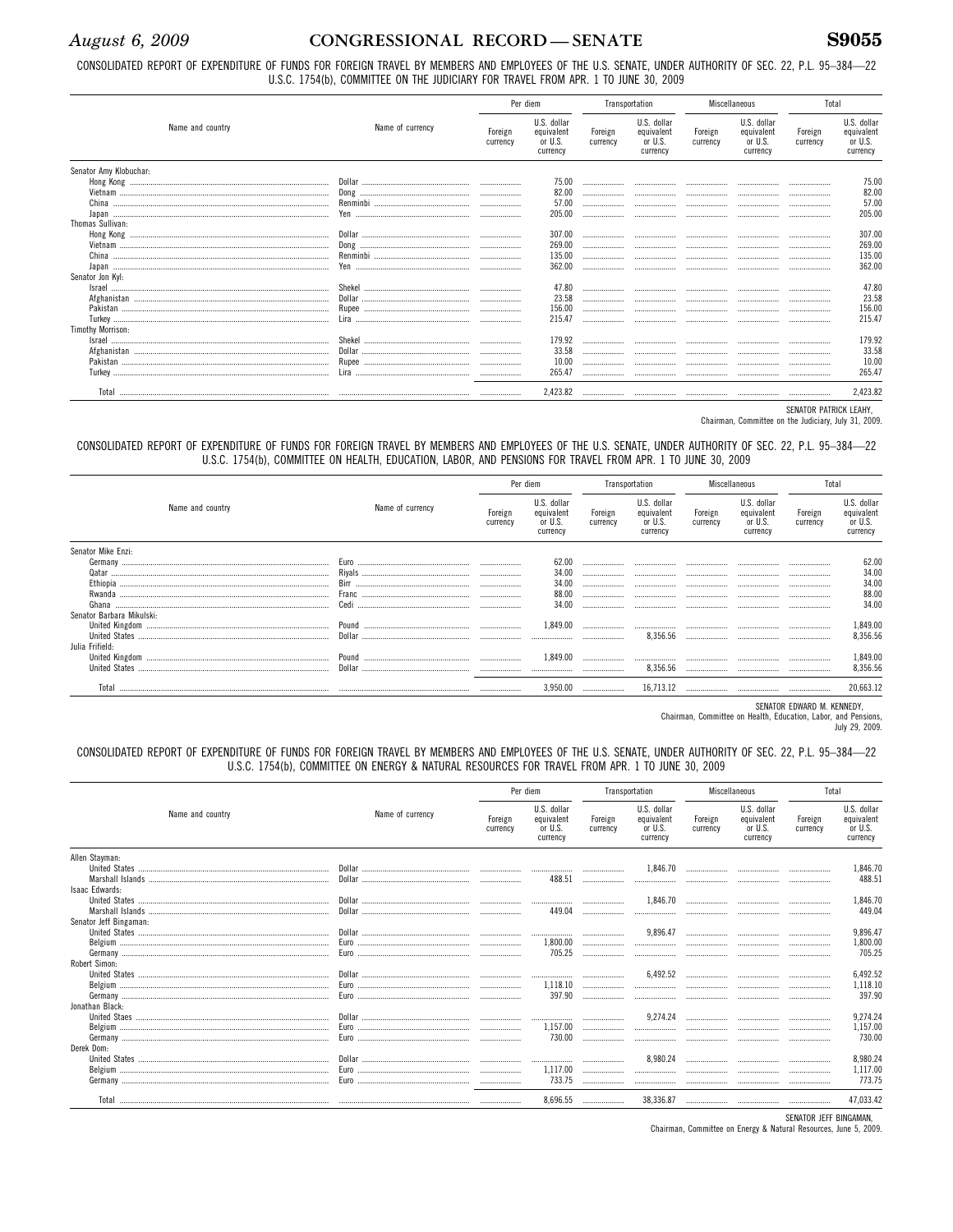**S9055** 

CONSOLIDATED REPORT OF EXPENDITURE OF FUNDS FOR FOREIGN TRAVEL BY MEMBERS AND EMPLOYEES OF THE U.S. SENATE, UNDER AUTHORITY OF SEC. 22, P.L. 95-384-22 U.S.C. 1754(b), COMMITTEE ON THE JUDICIARY FOR TRAVEL FROM APR. 1 TO JUNE 30, 2009

|                        |                                                                                                                           | Per diem            |                                                  | Transportation      |                                                  | Miscellaneous       |                                                  | Total                  |                                                  |
|------------------------|---------------------------------------------------------------------------------------------------------------------------|---------------------|--------------------------------------------------|---------------------|--------------------------------------------------|---------------------|--------------------------------------------------|------------------------|--------------------------------------------------|
| Name and country       | Name of currency                                                                                                          | Foreign<br>currency | U.S. dollar<br>equivalent<br>or U.S.<br>currency | Foreign<br>currency | U.S. dollar<br>equivalent<br>or U.S.<br>currency | Foreign<br>currency | U.S. dollar<br>equivalent<br>or U.S.<br>currency | Foreign<br>currency    | U.S. dollar<br>equivalent<br>or U.S.<br>currency |
| Senator Amy Klobuchar: |                                                                                                                           |                     |                                                  |                     |                                                  |                     |                                                  |                        |                                                  |
|                        |                                                                                                                           |                     |                                                  |                     |                                                  |                     |                                                  |                        | 75.00                                            |
|                        |                                                                                                                           |                     | 82.0                                             |                     |                                                  |                     |                                                  |                        | 82.00                                            |
|                        |                                                                                                                           |                     | 57.00                                            |                     |                                                  |                     |                                                  |                        | 57.00                                            |
|                        |                                                                                                                           |                     | 205.00                                           |                     |                                                  |                     |                                                  |                        | 205.00                                           |
| Thomas Sullivan:       |                                                                                                                           |                     |                                                  |                     |                                                  |                     |                                                  |                        |                                                  |
|                        |                                                                                                                           |                     | 307.00                                           |                     |                                                  |                     |                                                  |                        | 307.00                                           |
|                        | $\begin{minipage}{.4\linewidth} \textbf{Dong} \end{minipage} \begin{minipage}{.4\linewidth} \textbf{Dong} \end{minipage}$ |                     | 269.00                                           |                     |                                                  |                     |                                                  |                        | 269.00                                           |
|                        |                                                                                                                           |                     | 135.00                                           |                     |                                                  |                     |                                                  |                        | 135.00                                           |
|                        |                                                                                                                           |                     | 362.00                                           |                     |                                                  |                     |                                                  |                        | 362.00                                           |
| Senator Jon Kyl:       |                                                                                                                           |                     |                                                  |                     |                                                  |                     |                                                  |                        |                                                  |
|                        |                                                                                                                           |                     |                                                  |                     |                                                  |                     |                                                  |                        | 47.80                                            |
|                        |                                                                                                                           |                     | 23.58                                            |                     |                                                  |                     |                                                  |                        | 23.58                                            |
|                        |                                                                                                                           |                     | 156.00                                           |                     |                                                  |                     |                                                  |                        | 156.00                                           |
|                        |                                                                                                                           | .                   | 215.47                                           |                     |                                                  |                     |                                                  |                        | 215.47                                           |
| Timothy Morrison:      |                                                                                                                           |                     |                                                  |                     |                                                  |                     |                                                  |                        |                                                  |
|                        |                                                                                                                           |                     |                                                  |                     |                                                  |                     |                                                  |                        | 179.92                                           |
|                        |                                                                                                                           |                     | 33.58                                            |                     |                                                  |                     |                                                  |                        | 33.58                                            |
|                        |                                                                                                                           |                     | 10.00                                            |                     |                                                  |                     |                                                  | .                      | 10.00                                            |
|                        |                                                                                                                           |                     | 265.47                                           |                     |                                                  |                     |                                                  |                        | 265.47                                           |
| Total                  |                                                                                                                           |                     | 2.423.82                                         |                     |                                                  |                     |                                                  |                        | 2,423.82                                         |
|                        |                                                                                                                           |                     |                                                  |                     |                                                  |                     |                                                  | SENATOR PATRICK LEAHY, |                                                  |

Chairman, Committee on the Judiciary, July 31, 2009.

#### CONSOLIDATED REPORT OF EXPENDITURE OF FUNDS FOR FOREIGN TRAVEL BY MEMBERS AND EMPLOYEES OF THE U.S. SENATE, UNDER AUTHORITY OF SEC. 22, P.L. 95-384-22 U.S.C. 1754(b), COMMITTEE ON HEALTH, EDUCATION, LABOR, AND PENSIONS FOR TRAVEL FROM APR. 1 TO JUNE 30, 2009

|                           |                                                                                                                                                               |                     | Per diem                                         | Transportation      |                                                  | Miscellaneous       |                                                  | Total               |                                                  |
|---------------------------|---------------------------------------------------------------------------------------------------------------------------------------------------------------|---------------------|--------------------------------------------------|---------------------|--------------------------------------------------|---------------------|--------------------------------------------------|---------------------|--------------------------------------------------|
| Name and country          | Name of currency                                                                                                                                              | Foreign<br>currency | U.S. dollar<br>equivalent<br>or U.S.<br>currency | Foreign<br>currency | U.S. dollar<br>equivalent<br>or U.S.<br>currency | Foreign<br>currency | U.S. dollar<br>equivalent<br>or U.S.<br>currency | Foreign<br>currency | U.S. dollar<br>equivalent<br>or U.S.<br>currency |
| Senator Mike Enzi:        |                                                                                                                                                               |                     |                                                  |                     |                                                  |                     |                                                  |                     |                                                  |
|                           |                                                                                                                                                               |                     | 62.00                                            |                     |                                                  |                     |                                                  |                     | 62.00                                            |
|                           |                                                                                                                                                               |                     | 34.00                                            |                     |                                                  |                     |                                                  |                     | 34.00                                            |
|                           |                                                                                                                                                               |                     | 34.00                                            |                     |                                                  |                     |                                                  |                     | 34.00                                            |
|                           |                                                                                                                                                               |                     | 88.00                                            |                     |                                                  |                     |                                                  |                     | 88.00                                            |
|                           |                                                                                                                                                               |                     | 34.00                                            |                     |                                                  |                     |                                                  |                     | 34.00                                            |
| Senator Barbara Mikulski: |                                                                                                                                                               |                     |                                                  |                     |                                                  |                     |                                                  |                     |                                                  |
|                           |                                                                                                                                                               |                     | 1,849.00                                         |                     |                                                  |                     |                                                  |                     | 1,849.00<br>8,356.56                             |
|                           |                                                                                                                                                               |                     |                                                  |                     | 8,356.56                                         |                     |                                                  |                     |                                                  |
| Julia Frifield:           |                                                                                                                                                               |                     |                                                  |                     |                                                  |                     |                                                  |                     |                                                  |
|                           |                                                                                                                                                               |                     | 1,849.00                                         |                     |                                                  |                     |                                                  |                     | 1,849.00<br>8,356.56                             |
|                           | $\textbf{Dollar} \textit{} \textit{} \textit{} \textit{} \textit{} \textit{} \textit{} \textit{} \textit{} \textit{} \textit{} \textit{} \textit{} \textit{}$ |                     |                                                  |                     | 8.356.56                                         |                     |                                                  |                     |                                                  |
|                           |                                                                                                                                                               |                     | 3,950.00                                         |                     | 16,713.12                                        |                     |                                                  |                     | 20,663.12                                        |

SENATOR EDWARD M. KENNEDY,

Chairman, Committee on Health, Education, Labor, and Pensions, July 29, 2009.

#### CONSOLIDATED REPORT OF EXPENDITURE OF FUNDS FOR FOREIGN TRAVEL BY MEMBERS AND EMPLOYEES OF THE U.S. SENATE, UNDER AUTHORITY OF SEC. 22, P.L. 95-384-22 U.S.C. 1754(b), COMMITTEE ON ENERGY & NATURAL RESOURCES FOR TRAVEL FROM APR. 1 TO JUNE 30, 2009

|                        |                  | Per diem            |                                                  | Transportation      |                                                  | Miscellaneous       |                                                  | Total               |                                                  |
|------------------------|------------------|---------------------|--------------------------------------------------|---------------------|--------------------------------------------------|---------------------|--------------------------------------------------|---------------------|--------------------------------------------------|
| Name and country       | Name of currency | Foreign<br>currency | U.S. dollar<br>equivalent<br>or U.S.<br>currency | Foreign<br>currency | U.S. dollar<br>equivalent<br>or U.S.<br>currency | Foreign<br>currency | U.S. dollar<br>equivalent<br>or U.S.<br>currency | Foreign<br>currency | U.S. dollar<br>equivalent<br>or U.S.<br>currency |
| Allen Stayman:         |                  |                     |                                                  |                     | 1.846.70                                         |                     |                                                  |                     | 1,846.70                                         |
|                        |                  |                     | 488.51                                           |                     |                                                  |                     |                                                  |                     | 488.51                                           |
| Isaac Edwards:         |                  |                     |                                                  |                     |                                                  |                     |                                                  |                     |                                                  |
|                        |                  |                     |                                                  |                     | 1,846.70                                         |                     |                                                  |                     | 1,846.70                                         |
|                        |                  |                     | 449.04                                           |                     |                                                  |                     |                                                  |                     | 449.04                                           |
| Senator Jeff Bingaman: |                  |                     |                                                  |                     |                                                  |                     |                                                  |                     |                                                  |
|                        |                  |                     |                                                  |                     | 9,896.47                                         |                     |                                                  |                     | 9,896.47                                         |
|                        |                  |                     | 1.800.00                                         |                     |                                                  |                     |                                                  |                     | 1,800.00                                         |
|                        |                  |                     | 705.25                                           |                     |                                                  |                     |                                                  |                     | 705.25                                           |
| Robert Simon:          |                  |                     |                                                  |                     |                                                  |                     |                                                  |                     |                                                  |
|                        |                  |                     |                                                  |                     | 6,492.52                                         |                     |                                                  |                     | 6,492.52                                         |
|                        |                  |                     | 1,118.10                                         |                     |                                                  |                     |                                                  |                     | 1,118.10                                         |
|                        |                  |                     | 397.90                                           |                     |                                                  |                     |                                                  |                     | 397.90                                           |
| Jonathan Black:        |                  |                     |                                                  |                     | 9.274.24                                         |                     |                                                  |                     | 9,274.24                                         |
|                        |                  |                     | <br>1,157.00                                     |                     |                                                  |                     |                                                  |                     | 1,157.00                                         |
|                        |                  |                     | 730.00                                           |                     |                                                  |                     |                                                  |                     | 730.00                                           |
| Derek Dom:             |                  |                     |                                                  |                     |                                                  |                     |                                                  |                     |                                                  |
|                        |                  |                     |                                                  |                     | 8.980.24                                         |                     |                                                  |                     | 8.980.24                                         |
|                        |                  |                     | 1,117.00                                         |                     |                                                  |                     |                                                  |                     | 1,117.00                                         |
|                        |                  |                     | 733.75                                           |                     |                                                  |                     |                                                  |                     | 773.75                                           |
|                        |                  |                     | 8,696.55                                         |                     | 38,336.87                                        |                     |                                                  |                     | 47.033.42                                        |

SENATOR JEFF BINGAMAN,

Chairman, Committee on Energy & Natural Resources, June 5, 2009.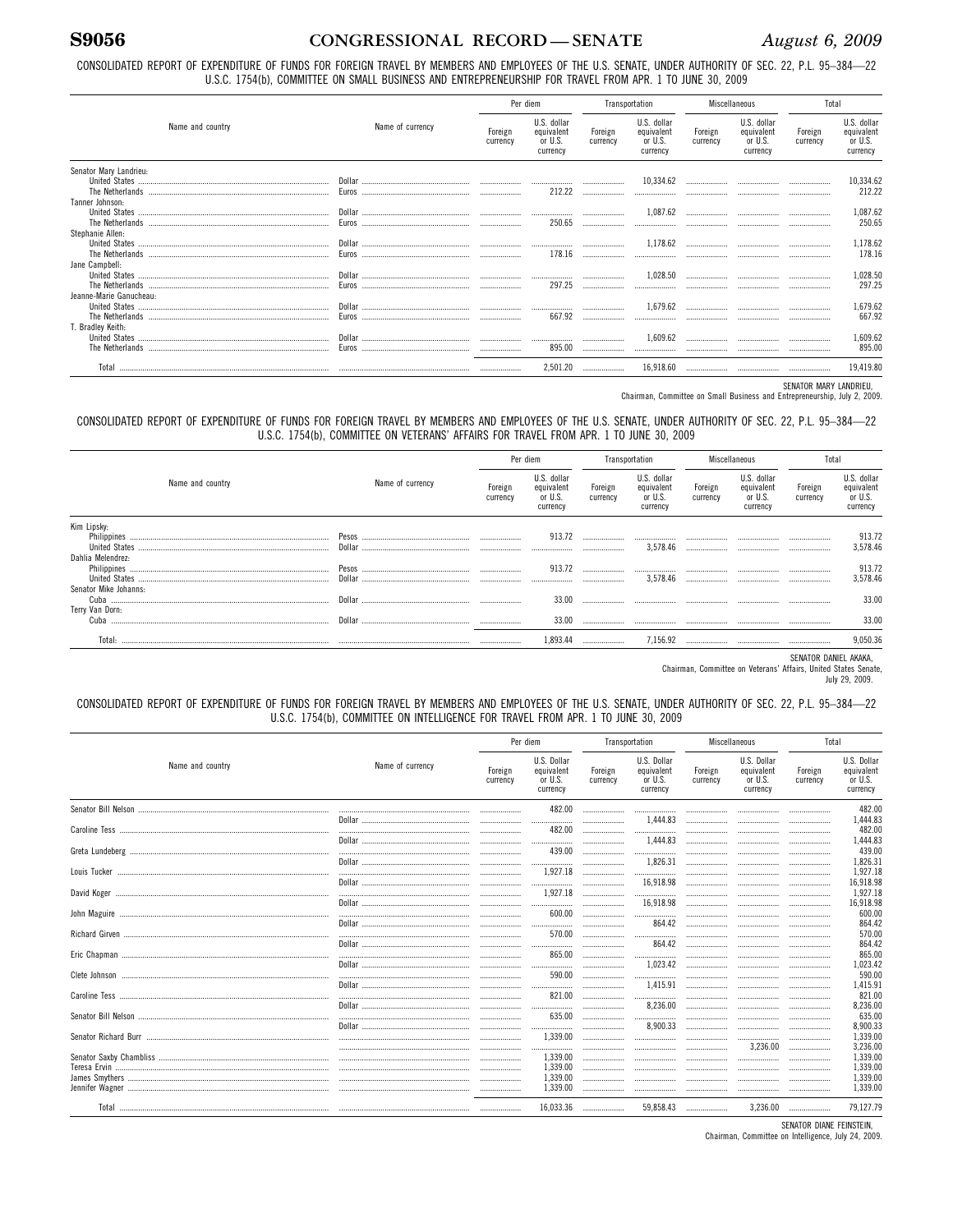CONSOLIDATED REPORT OF EXPENDITURE OF FUNDS FOR FOREIGN TRAVEL BY MEMBERS AND EMPLOYEES OF THE U.S. SENATE, UNDER AUTHORITY OF SEC. 22, P.L. 95-384-22 U.S.C. 1754(b), COMMITTEE ON SMALL BUSINESS AND ENTREPRENEURSHIP FOR TRAVEL FROM APR. 1 TO JUNE 30, 2009

|                                    |                  | Per diem            |                                                  | Transportation      |                                                  | Miscellaneous       |                                                  | Total               |                                                  |
|------------------------------------|------------------|---------------------|--------------------------------------------------|---------------------|--------------------------------------------------|---------------------|--------------------------------------------------|---------------------|--------------------------------------------------|
| Name and country                   | Name of currency | Foreign<br>currency | U.S. dollar<br>equivalent<br>or U.S.<br>currency | Foreign<br>currency | U.S. dollar<br>equivalent<br>or U.S.<br>currency | Foreign<br>currency | U.S. dollar<br>equivalent<br>or U.S.<br>currency | Foreign<br>currency | U.S. dollar<br>equivalent<br>or U.S.<br>currency |
| Senator Mary Landrieu:             |                  |                     | 212.22                                           |                     | 10,334.62<br>                                    |                     |                                                  |                     | 10,334.62<br>212.22                              |
| Tanner Johnson:<br>The Netherlands |                  |                     | 250.65                                           |                     | 1.087.62                                         |                     |                                                  |                     | 1,087.62<br>250.65                               |
| Stephanie Allen:                   |                  |                     | 178.16                                           |                     | 1,178.62<br>$\ldots \ldots \ldots \ldots$        |                     |                                                  | <br>                | 1,178.62<br>178.16                               |
| Jane Campbell:                     |                  |                     | 297.25                                           |                     | 1,028.50                                         |                     |                                                  |                     | 1,028.50<br>297.25                               |
| Jeanne-Marie Ganucheau:            |                  |                     | 667.92                                           | <br>                | 1,679.62                                         |                     |                                                  |                     | 1,679.62<br>667.92                               |
| T. Bradley Keith:                  |                  |                     | 895.00                                           | <br>                | 1,609.62                                         |                     |                                                  |                     | 1,609.62<br>895.00                               |
|                                    |                  |                     | 2.501.20                                         |                     | 16.918.60                                        |                     |                                                  | .                   | 19.419.80                                        |

SENATOR MARY LANDRIEU,

Chairman, Committee on Small Business and Entrepreneurship, July 2, 2009.

CONSOLIDATED REPORT OF EXPENDITURE OF FUNDS FOR FOREIGN TRAVEL BY MEMBERS AND EMPLOYEES OF THE U.S. SENATE, UNDER AUTHORITY OF SEC. 22, P.L. 95-384-22 U.S.C. 1754(b), COMMITTEE ON VETERANS' AFFAIRS FOR TRAVEL FROM APR. 1 TO JUNE 30, 2009

|                                          |                  |                     | Per diem                                         | Transportation      |                                                  | Miscellaneous       |                                                  | Total               |                                                  |
|------------------------------------------|------------------|---------------------|--------------------------------------------------|---------------------|--------------------------------------------------|---------------------|--------------------------------------------------|---------------------|--------------------------------------------------|
| Name and country                         | Name of currency | Foreign<br>currency | U.S. dollar<br>equivalent<br>or U.S.<br>currency | Foreign<br>currency | U.S. dollar<br>equivalent<br>or U.S.<br>currency | Foreign<br>currency | U.S. dollar<br>equivalent<br>or U.S.<br>currency | Foreign<br>currency | U.S. dollar<br>equivalent<br>or U.S.<br>currency |
| Kim Lipsky:                              |                  |                     | 913.72                                           |                     | 3.578.46                                         |                     |                                                  |                     | 913.7<br>3,578.4                                 |
| Dahlia Melendrez:                        |                  |                     | 913.72                                           |                     | 3.578.46                                         |                     |                                                  |                     | $913.72$<br>3,578.4                              |
| Senator Mike Johanns:<br>Terry Van Dorn: |                  |                     | 33.00                                            |                     |                                                  |                     |                                                  |                     | 33.0                                             |
|                                          |                  |                     | 33.00                                            |                     |                                                  |                     |                                                  |                     | 33.0                                             |
| Total:                                   |                  |                     | 1.893.44                                         |                     | 7.156.92                                         |                     |                                                  |                     | 9,050.3                                          |

SENATOR DANIEL AKAKA,

Chairman, Committee on Veterans' Affairs, United States Senate,<br>July 29, 2009.

CONSOLIDATED REPORT OF EXPENDITURE OF FUNDS FOR FOREIGN TRAVEL BY MEMBERS AND EMPLOYEES OF THE U.S. SENATE, UNDER AUTHORITY OF SEC. 22, P.L. 95-384-22 U.S.C. 1754(b), COMMITTEE ON INTELLIGENCE FOR TRAVEL FROM APR. 1 TO JUNE 30, 2009

|                  |                  | Per diem            |                                                  | Transportation      |                                                  | Miscellaneous       |                                                  | Total               |                                                  |
|------------------|------------------|---------------------|--------------------------------------------------|---------------------|--------------------------------------------------|---------------------|--------------------------------------------------|---------------------|--------------------------------------------------|
| Name and country | Name of currency | Foreign<br>currency | U.S. Dollar<br>equivalent<br>or U.S.<br>currency | Foreign<br>currency | U.S. Dollar<br>equivalent<br>or U.S.<br>currency | Foreign<br>currency | U.S. Dollar<br>equivalent<br>or U.S.<br>currency | Foreign<br>currency | U.S. Dollar<br>equivalent<br>or U.S.<br>currency |
|                  |                  |                     | 482.00                                           |                     |                                                  |                     |                                                  |                     | 482.00                                           |
|                  |                  |                     |                                                  |                     | 1.444.83                                         |                     |                                                  |                     | 1.444.83                                         |
|                  |                  |                     | 482.00                                           |                     |                                                  |                     |                                                  |                     | 482.00                                           |
|                  |                  |                     |                                                  |                     | 1.444.83                                         |                     |                                                  |                     | 1.444.83                                         |
|                  |                  |                     | 439.00                                           |                     |                                                  |                     |                                                  |                     | 439.00                                           |
|                  |                  |                     |                                                  |                     | 1.826.31                                         |                     |                                                  |                     | 1.826.31                                         |
|                  |                  |                     | 1.927.18                                         |                     |                                                  |                     |                                                  |                     | 1.927.18                                         |
|                  |                  |                     | <br>1.927.18                                     |                     | 16.918.98                                        |                     |                                                  |                     | 16.918.98<br>1.927.18                            |
|                  |                  |                     |                                                  |                     | <br>16,918.98                                    |                     |                                                  |                     | 16,918.98                                        |
|                  |                  | <br>                | <br>600.00                                       | <br>                |                                                  |                     |                                                  |                     | 600.00                                           |
|                  |                  |                     |                                                  |                     | <br>864.42                                       | <br>                |                                                  |                     | 864.42                                           |
|                  |                  |                     | 570.00                                           |                     |                                                  |                     | <br>                                             |                     | 570.00                                           |
|                  |                  |                     |                                                  |                     | 864.42                                           |                     |                                                  |                     | 864.42                                           |
|                  |                  |                     | 865.00                                           |                     |                                                  |                     |                                                  |                     | 865.00                                           |
|                  |                  |                     |                                                  |                     | 1,023.42                                         |                     |                                                  |                     | 1,023.42                                         |
|                  |                  |                     | 590.00                                           |                     |                                                  |                     |                                                  |                     | 590.00                                           |
|                  |                  |                     |                                                  |                     | 1,415.91                                         |                     |                                                  |                     | 1,415.91                                         |
|                  |                  |                     | 821.00                                           |                     |                                                  |                     |                                                  |                     | 821.00                                           |
|                  |                  |                     |                                                  |                     | 8,236.00                                         |                     |                                                  |                     | 8,236.00                                         |
|                  |                  |                     | 635.00                                           |                     |                                                  |                     |                                                  |                     | 635.00                                           |
|                  |                  |                     | <br>1,339.00                                     |                     | 8,900.33                                         |                     |                                                  |                     | 8.900.33<br>1,339.00                             |
|                  |                  |                     |                                                  |                     |                                                  |                     | <br>3,236.00                                     |                     | 3.236.00                                         |
|                  |                  |                     | <br>1,339.00                                     |                     |                                                  |                     |                                                  |                     | 1,339.00                                         |
|                  |                  |                     | 1,339.00                                         | <br>                | <br>                                             | <br>                | <br>                                             |                     | 1.339.00                                         |
|                  |                  |                     | 1,339.00                                         |                     |                                                  |                     |                                                  |                     | 1.339.00                                         |
|                  |                  |                     | 1,339.00                                         |                     |                                                  |                     |                                                  |                     | 1,339.00                                         |
|                  |                  |                     | 16,033.36                                        |                     | 59,858.43                                        | .                   | 3,236.00                                         |                     | 79.127.79                                        |

SENATOR DIANE FEINSTEIN, Chairman, Committee on Intelligence, July 24, 2009.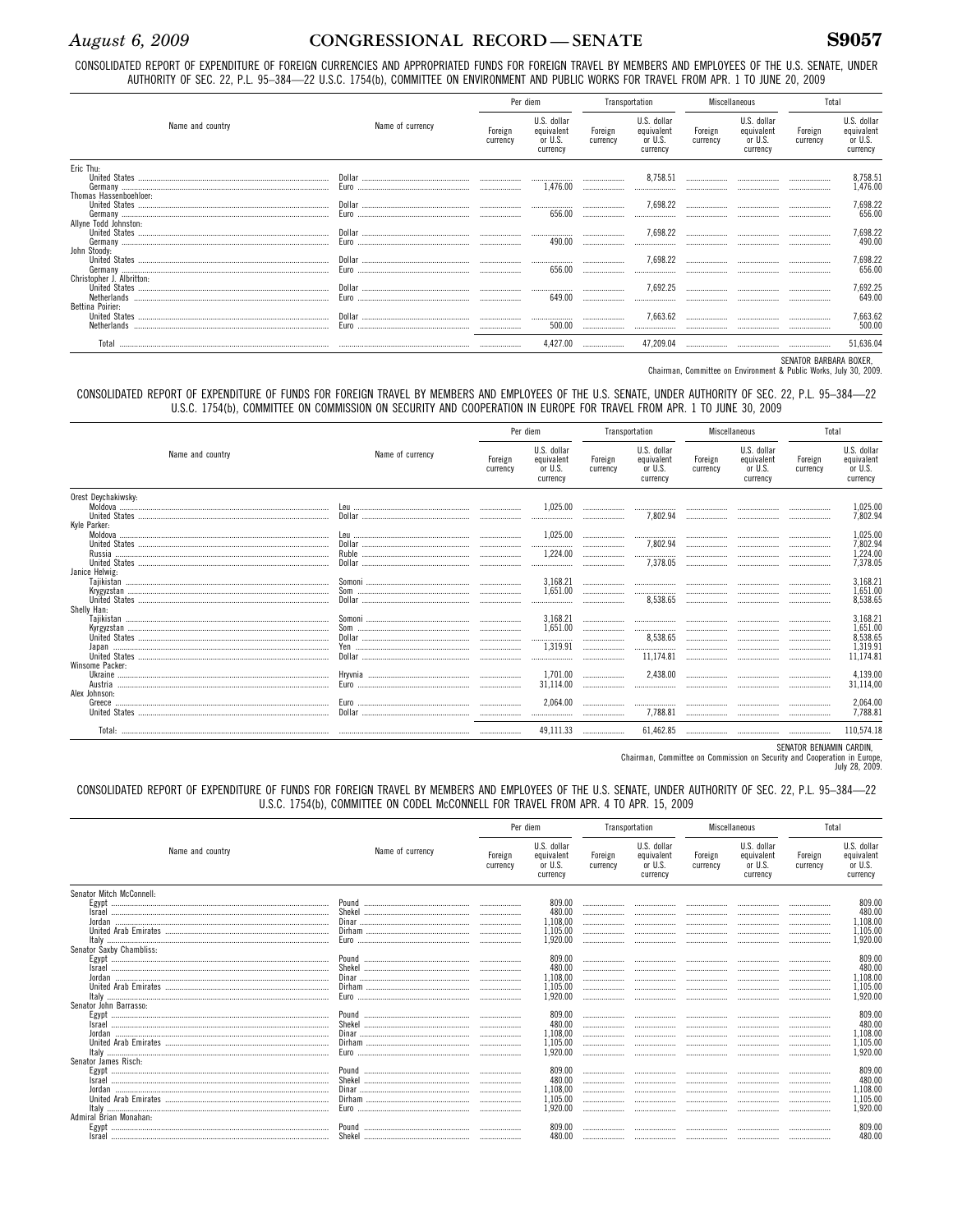S9057

CONSOLIDATED REPORT OF EXPENDITURE OF FOREIGN CURRENCIES AND APPROPRIATED FUNDS FOR FOREIGN TRAVEL BY MEMBERS AND EMPLOYEES OF THE U.S. SENATE, UNDER AUTHORITY OF SEC. 22, P.L. 95-384-22 U.S.C. 1754(b), COMMITTEE ON ENVIRONMENT AND PUBLIC WORKS FOR TRAVEL FROM APR. 1 TO JUNE 20, 2009

|                                                 |                  |                     | Per diem                                         |                     | Transportation                                   | Miscellaneous       |                                                  | Total               |                                                  |
|-------------------------------------------------|------------------|---------------------|--------------------------------------------------|---------------------|--------------------------------------------------|---------------------|--------------------------------------------------|---------------------|--------------------------------------------------|
| Name and country                                | Name of currency | Foreign<br>currency | U.S. dollar<br>equivalent<br>or U.S.<br>currency | Foreign<br>currency | U.S. dollar<br>equivalent<br>or U.S.<br>currency | Foreign<br>currency | U.S. dollar<br>equivalent<br>or U.S.<br>currency | Foreign<br>currency | U.S. dollar<br>equivalent<br>or U.S.<br>currency |
| Eric Thu:                                       |                  |                     | 1.476.00                                         |                     | 8,758.51<br>$\ldots \ldots \ldots \ldots$        |                     |                                                  | <br>                | 8,758.51<br>1,476.00                             |
| Thomas Hassenboehloer:<br>Allyne Todd Johnston: |                  |                     | 656.00                                           |                     | 7.698.22                                         |                     |                                                  |                     | 7,698.22<br>656.00                               |
| John Stoody:                                    |                  |                     | 490.00                                           |                     | 7.698.22                                         |                     |                                                  |                     | 7,698.22<br>490.00                               |
| Christopher J. Albritton:                       |                  |                     | 656.00                                           |                     | 7.698.22                                         |                     |                                                  |                     | 7,698.22<br>656.00                               |
| Bettina Poirier:                                |                  |                     | 649.00                                           |                     | 7.692.25                                         |                     |                                                  |                     | 7,692.25<br>649.00                               |
|                                                 |                  |                     | 500.00                                           |                     | 7.663.62                                         |                     |                                                  |                     | 7,663.62<br>500.00                               |
|                                                 |                  |                     | 4.427.00                                         |                     | 47.209.04                                        |                     |                                                  |                     | 51.636.04                                        |

SENATOR BARBARA BOXER,<br>Chairman, Committee on Environment & Public Works, July 30, 2009.

#### CONSOLIDATED REPORT OF EXPENDITURE OF FUNDS FOR FOREIGN TRAVEL BY MEMBERS AND EMPLOYEES OF THE U.S. SENATE, UNDER AUTHORITY OF SEC. 22, P.L. 95-384-22 U.S.C. 1754(b), COMMITTEE ON COMMISSION ON SECURITY AND COOPERATION IN EUROPE FOR TRAVEL FROM APR. 1 TO JUNE 30, 2009

|                                     |                  | Per diem            |                                                  |                     | Transportation                                   | Miscellaneous       |                                                  | Total               |                                                           |
|-------------------------------------|------------------|---------------------|--------------------------------------------------|---------------------|--------------------------------------------------|---------------------|--------------------------------------------------|---------------------|-----------------------------------------------------------|
| Name and country                    | Name of currency | Foreign<br>currency | U.S. dollar<br>equivalent<br>or U.S.<br>currency | Foreign<br>currency | U.S. dollar<br>equivalent<br>or U.S.<br>currency | Foreign<br>currency | U.S. dollar<br>equivalent<br>or U.S.<br>currency | Foreign<br>currency | U.S. dollar<br>equivalent<br>or U.S.<br>currency          |
| Orest Deychakiwsky:<br>Kyle Parker: |                  |                     | 1.025.00<br>                                     | <br>                | <br>7.802.94                                     | <br>                | <br>                                             |                     | 1,025.00<br>7.802.94                                      |
|                                     |                  | <br><br>            | 1,025.00<br><br>1.224.00<br>                     | <br><br><br>.       | <br>7.802.94<br><br>7,378.05                     | <br><br><br>        | <br><br><br>                                     | <br><br>            | 1,025.00<br>7,802.94<br>1,224.00<br>7,378.05              |
| Janice Helwig:<br>Shelly Han:       |                  |                     | 3.168.21<br>1,651.00<br>                         |                     | <br><br>8,538.65                                 | <br><br>            | <br><br>                                         |                     | 3,168.21<br>1,651.00<br>8,538.65                          |
|                                     |                  | <br><br>            | 3.168.21<br>1.651.00<br><br>1,319.91<br>         | <br><br><br><br>    | <br>8.538.65<br><br>11.174.81                    | <br><br><br><br>    | <br><br><br><br>                                 | <br><br>            | 3,168.21<br>1,651.00<br>8,538.65<br>1,319.91<br>11,174.81 |
| Winsome Packer:<br>Alex Johnson:    |                  |                     | 1.701.00<br>31,114.00<br>2,064.00                | <br><br>            | 2.438.00<br><br><br>7,788.81                     | <br>                | <br><br>                                         | <br><br>            | 4,139.00<br>31,114,00<br>2,064.00<br>7,788.81             |
|                                     |                  |                     | <br>49.111.33                                    | <br>                | 61.462.85                                        |                     |                                                  |                     | 110.574.18                                                |

SENATOR BENJAMIN CARDIN,

Chairman, Committee on Commission on Security and Cooperation in Europe,<br>July 28, 2009.

CONSOLIDATED REPORT OF EXPENDITURE OF FUNDS FOR FOREIGN TRAVEL BY MEMBERS AND EMPLOYEES OF THE U.S. SENATE, UNDER AUTHORITY OF SEC. 22, P.L. 95-384-22 U.S.C. 1754(b), COMMITTEE ON CODEL McCONNELL FOR TRAVEL FROM APR. 4 TO APR. 15, 2009

|                                                |                  |                     | Per diem                                         |                     | Transportation                                   |                     | Miscellaneous                                    |                     | Total                                            |
|------------------------------------------------|------------------|---------------------|--------------------------------------------------|---------------------|--------------------------------------------------|---------------------|--------------------------------------------------|---------------------|--------------------------------------------------|
| Name and country                               | Name of currency | Foreign<br>currency | U.S. dollar<br>equivalent<br>or U.S.<br>currency | Foreign<br>currency | U.S. dollar<br>equivalent<br>or U.S.<br>currency | Foreign<br>currency | U.S. dollar<br>equivalent<br>or U.S.<br>currency | Foreign<br>currency | U.S. dollar<br>equivalent<br>or U.S.<br>currency |
| Senator Mitch McConnell:                       |                  |                     |                                                  |                     |                                                  |                     |                                                  |                     |                                                  |
| Egypt …………………………………………………………………………………………       |                  |                     | 809.00                                           |                     |                                                  |                     |                                                  |                     | 809.00                                           |
| Israel                                         |                  |                     | 480.00                                           |                     |                                                  |                     |                                                  |                     | 480.00                                           |
|                                                |                  |                     | 1.108.00                                         |                     |                                                  |                     |                                                  |                     | 1.108.00                                         |
|                                                |                  |                     | 1.105.00                                         |                     |                                                  |                     |                                                  |                     | 1,105.00                                         |
|                                                |                  |                     | 1.920.00                                         |                     |                                                  |                     |                                                  |                     | 1,920.00                                         |
| Senator Saxby Chambliss:                       |                  |                     |                                                  |                     |                                                  |                     |                                                  |                     |                                                  |
| Egypt ……………………………………………………………………………………………      |                  |                     | 809.00                                           |                     |                                                  |                     |                                                  |                     | 809.00                                           |
|                                                |                  |                     | 480.00                                           |                     |                                                  |                     |                                                  |                     | 480.00                                           |
|                                                |                  |                     | ,108,00                                          |                     |                                                  |                     |                                                  |                     | 1,108.00                                         |
|                                                |                  |                     | .105.00                                          |                     |                                                  |                     |                                                  |                     | 1,105.00                                         |
|                                                |                  |                     | .920.00                                          |                     |                                                  |                     |                                                  |                     | 1,920.00                                         |
| Senator John Barrasso:                         |                  |                     |                                                  |                     |                                                  |                     |                                                  |                     |                                                  |
|                                                |                  |                     | 809.00                                           |                     |                                                  |                     |                                                  |                     | 809.00                                           |
| Israel                                         |                  |                     | 480.00                                           |                     |                                                  |                     |                                                  |                     | 480.00                                           |
|                                                |                  |                     | 1,108,00                                         |                     |                                                  |                     |                                                  |                     | 1,108.00                                         |
|                                                |                  |                     | .105.00                                          |                     |                                                  |                     |                                                  |                     | 1.105.00                                         |
| <u>taly …………………………………………………………………………………………</u> |                  |                     | 1.920.00                                         |                     |                                                  |                     |                                                  |                     | 1,920.00                                         |
| Senator James Risch:                           |                  |                     |                                                  |                     |                                                  |                     |                                                  |                     |                                                  |
| Egypt …………………………………………………………………………………………       |                  |                     | 809.00                                           |                     |                                                  |                     |                                                  |                     | 809.00                                           |
| Israel                                         |                  |                     | 480.00                                           |                     |                                                  |                     |                                                  |                     | 480.00                                           |
|                                                |                  |                     | 1,108,00                                         |                     |                                                  |                     |                                                  |                     | 1,108.00                                         |
|                                                |                  |                     | 1.105.00                                         |                     |                                                  |                     |                                                  |                     | 1.105.00                                         |
|                                                |                  |                     | .920.00                                          |                     |                                                  |                     |                                                  |                     | 1,920.00                                         |
| Admiral Brian Monahan:                         |                  |                     |                                                  |                     |                                                  |                     |                                                  |                     |                                                  |
| Egypt ……………………………………………………………………………………………      | Pound            |                     |                                                  |                     |                                                  |                     |                                                  |                     | 809.00                                           |
| <b>Israel</b>                                  |                  |                     | 480.00                                           |                     |                                                  |                     |                                                  |                     | 480.00                                           |